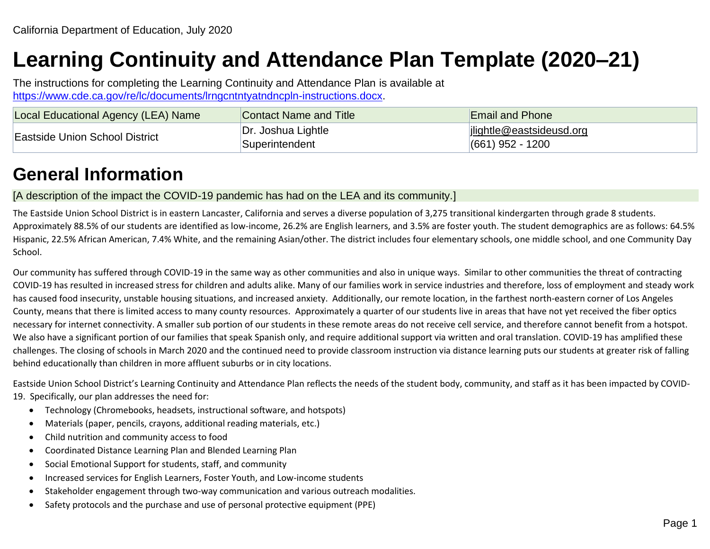# **Learning Continuity and Attendance Plan Template (2020–21)**

The instructions for completing the Learning Continuity and Attendance Plan is available at [https://www.cde.ca.gov/re/lc/documents/lrngcntntyatndncpln-instructions.docx.](https://www.cde.ca.gov/re/lc/documents/lrngcntntyatndncpln-instructions.docx)

| Local Educational Agency (LEA) Name | Contact Name and Title               | <b>Email and Phone</b>                                 |
|-------------------------------------|--------------------------------------|--------------------------------------------------------|
| Eastside Union School District      | Dr. Joshua Lightle<br>Superintendent | $\vert$ ilightle@eastsideusd.org<br>$(661)$ 952 - 1200 |

# **General Information**

# [A description of the impact the COVID-19 pandemic has had on the LEA and its community.]

The Eastside Union School District is in eastern Lancaster, California and serves a diverse population of 3,275 transitional kindergarten through grade 8 students. Approximately 88.5% of our students are identified as low-income, 26.2% are English learners, and 3.5% are foster youth. The student demographics are as follows: 64.5% Hispanic, 22.5% African American, 7.4% White, and the remaining Asian/other. The district includes four elementary schools, one middle school, and one Community Day School.

Our community has suffered through COVID-19 in the same way as other communities and also in unique ways. Similar to other communities the threat of contracting COVID-19 has resulted in increased stress for children and adults alike. Many of our families work in service industries and therefore, loss of employment and steady work has caused food insecurity, unstable housing situations, and increased anxiety. Additionally, our remote location, in the farthest north-eastern corner of Los Angeles County, means that there is limited access to many county resources. Approximately a quarter of our students live in areas that have not yet received the fiber optics necessary for internet connectivity. A smaller sub portion of our students in these remote areas do not receive cell service, and therefore cannot benefit from a hotspot. We also have a significant portion of our families that speak Spanish only, and require additional support via written and oral translation. COVID-19 has amplified these challenges. The closing of schools in March 2020 and the continued need to provide classroom instruction via distance learning puts our students at greater risk of falling behind educationally than children in more affluent suburbs or in city locations.

Eastside Union School District's Learning Continuity and Attendance Plan reflects the needs of the student body, community, and staff as it has been impacted by COVID-19. Specifically, our plan addresses the need for:

- Technology (Chromebooks, headsets, instructional software, and hotspots)
- Materials (paper, pencils, crayons, additional reading materials, etc.)
- Child nutrition and community access to food
- Coordinated Distance Learning Plan and Blended Learning Plan
- Social Emotional Support for students, staff, and community
- Increased services for English Learners, Foster Youth, and Low-income students
- Stakeholder engagement through two-way communication and various outreach modalities.
- Safety protocols and the purchase and use of personal protective equipment (PPE)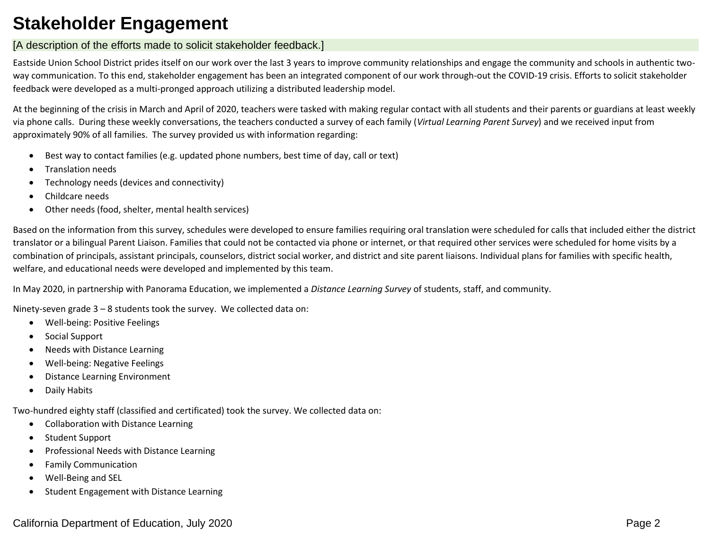# **Stakeholder Engagement**

# [A description of the efforts made to solicit stakeholder feedback.]

Eastside Union School District prides itself on our work over the last 3 years to improve community relationships and engage the community and schools in authentic twoway communication. To this end, stakeholder engagement has been an integrated component of our work through-out the COVID-19 crisis. Efforts to solicit stakeholder feedback were developed as a multi-pronged approach utilizing a distributed leadership model.

At the beginning of the crisis in March and April of 2020, teachers were tasked with making regular contact with all students and their parents or guardians at least weekly via phone calls. During these weekly conversations, the teachers conducted a survey of each family (*Virtual Learning Parent Survey*) and we received input from approximately 90% of all families. The survey provided us with information regarding:

- Best way to contact families (e.g. updated phone numbers, best time of day, call or text)
- Translation needs
- Technology needs (devices and connectivity)
- Childcare needs
- Other needs (food, shelter, mental health services)

Based on the information from this survey, schedules were developed to ensure families requiring oral translation were scheduled for calls that included either the district translator or a bilingual Parent Liaison. Families that could not be contacted via phone or internet, or that required other services were scheduled for home visits by a combination of principals, assistant principals, counselors, district social worker, and district and site parent liaisons. Individual plans for families with specific health, welfare, and educational needs were developed and implemented by this team.

In May 2020, in partnership with Panorama Education, we implemented a *Distance Learning Survey* of students, staff, and community.

Ninety-seven grade 3 – 8 students took the survey. We collected data on:

- Well-being: Positive Feelings
- Social Support
- Needs with Distance Learning
- Well-being: Negative Feelings
- Distance Learning Environment
- Daily Habits

Two-hundred eighty staff (classified and certificated) took the survey. We collected data on:

- Collaboration with Distance Learning
- Student Support
- Professional Needs with Distance Learning
- Family Communication
- Well-Being and SEL
- Student Engagement with Distance Learning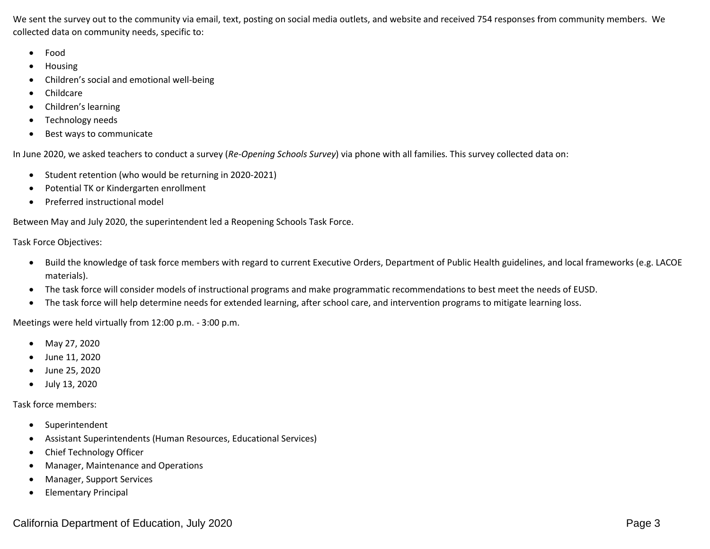We sent the survey out to the community via email, text, posting on social media outlets, and website and received 754 responses from community members. We collected data on community needs, specific to:

- Food
- Housing
- Children's social and emotional well-being
- Childcare
- Children's learning
- Technology needs
- Best ways to communicate

In June 2020, we asked teachers to conduct a survey (*Re-Opening Schools Survey*) via phone with all families. This survey collected data on:

- Student retention (who would be returning in 2020-2021)
- Potential TK or Kindergarten enrollment
- Preferred instructional model

Between May and July 2020, the superintendent led a Reopening Schools Task Force.

Task Force Objectives:

- Build the knowledge of task force members with regard to current Executive Orders, Department of Public Health guidelines, and local frameworks (e.g. LACOE materials).
- The task force will consider models of instructional programs and make programmatic recommendations to best meet the needs of EUSD.
- The task force will help determine needs for extended learning, after school care, and intervention programs to mitigate learning loss.

Meetings were held virtually from 12:00 p.m. - 3:00 p.m.

- May 27, 2020
- June 11, 2020
- June 25, 2020
- July 13, 2020

Task force members:

- Superintendent
- Assistant Superintendents (Human Resources, Educational Services)
- Chief Technology Officer
- Manager, Maintenance and Operations
- Manager, Support Services
- Elementary Principal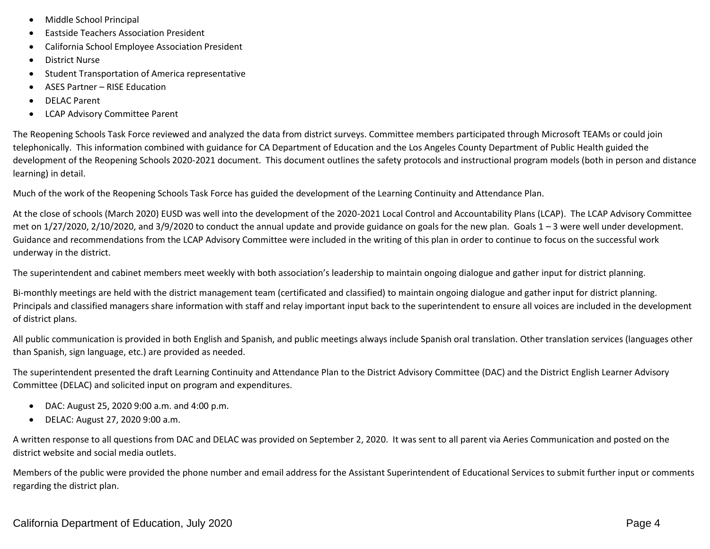- Middle School Principal
- Eastside Teachers Association President
- California School Employee Association President
- District Nurse
- Student Transportation of America representative
- ASES Partner RISE Education
- DELAC Parent
- LCAP Advisory Committee Parent

The Reopening Schools Task Force reviewed and analyzed the data from district surveys. Committee members participated through Microsoft TEAMs or could join telephonically. This information combined with guidance for CA Department of Education and the Los Angeles County Department of Public Health guided the development of the Reopening Schools 2020-2021 document. This document outlines the safety protocols and instructional program models (both in person and distance learning) in detail.

Much of the work of the Reopening Schools Task Force has guided the development of the Learning Continuity and Attendance Plan.

At the close of schools (March 2020) EUSD was well into the development of the 2020-2021 Local Control and Accountability Plans (LCAP). The LCAP Advisory Committee met on  $1/27/2020$ ,  $2/10/2020$ , and  $3/9/2020$  to conduct the annual update and provide guidance on goals for the new plan. Goals  $1-3$  were well under development. Guidance and recommendations from the LCAP Advisory Committee were included in the writing of this plan in order to continue to focus on the successful work underway in the district.

The superintendent and cabinet members meet weekly with both association's leadership to maintain ongoing dialogue and gather input for district planning.

Bi-monthly meetings are held with the district management team (certificated and classified) to maintain ongoing dialogue and gather input for district planning. Principals and classified managers share information with staff and relay important input back to the superintendent to ensure all voices are included in the development of district plans.

All public communication is provided in both English and Spanish, and public meetings always include Spanish oral translation. Other translation services (languages other than Spanish, sign language, etc.) are provided as needed.

The superintendent presented the draft Learning Continuity and Attendance Plan to the District Advisory Committee (DAC) and the District English Learner Advisory Committee (DELAC) and solicited input on program and expenditures.

- DAC: August 25, 2020 9:00 a.m. and 4:00 p.m.
- DELAC: August 27, 2020 9:00 a.m.

A written response to all questions from DAC and DELAC was provided on September 2, 2020. It was sent to all parent via Aeries Communication and posted on the district website and social media outlets.

Members of the public were provided the phone number and email address for the Assistant Superintendent of Educational Services to submit further input or comments regarding the district plan.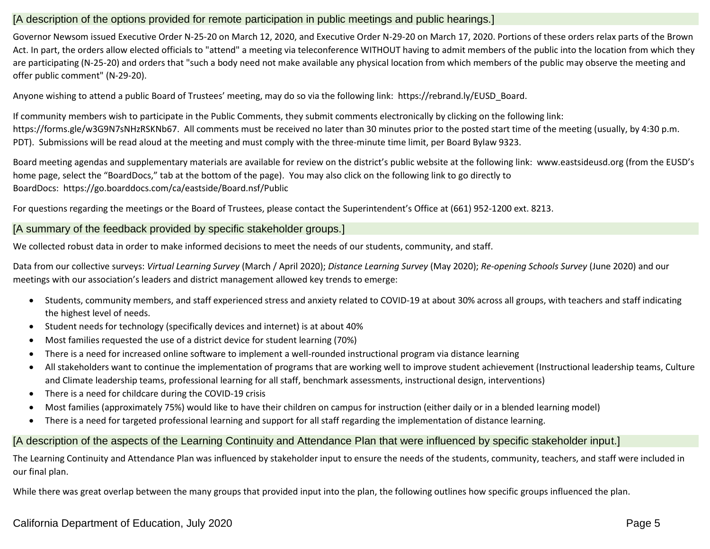# [A description of the options provided for remote participation in public meetings and public hearings.]

Governor Newsom issued Executive Order N-25-20 on March 12, 2020, and Executive Order N-29-20 on March 17, 2020. Portions of these orders relax parts of the Brown Act. In part, the orders allow elected officials to "attend" a meeting via teleconference WITHOUT having to admit members of the public into the location from which they are participating (N-25-20) and orders that "such a body need not make available any physical location from which members of the public may observe the meeting and offer public comment" (N-29-20).

Anyone wishing to attend a public Board of Trustees' meeting, may do so via the following link: [https://rebrand.ly/EUSD\\_Board.](https://rebrand.ly/EUSD_Board)

If community members wish to participate in the Public Comments, they submit comments electronically by clicking on the following link: [https://forms.gle/w3G9N7sNHzRSKNb67.](https://forms.gle/w3G9N7sNHzRSKNb67) All comments must be received no later than 30 minutes prior to the posted start time of the meeting (usually, by 4:30 p.m. PDT). Submissions will be read aloud at the meeting and must comply with the three-minute time limit, per Board Bylaw 9323.

Board meeting agendas and supplementary materials are available for review on the district's public website at the following link: [www.eastsideusd.org](http://www.eastsideusd.org/) (from the EUSD's home page, select the "BoardDocs," tab at the bottom of the page). You may also click on the following link to go directly to BoardDocs: <https://go.boarddocs.com/ca/eastside/Board.nsf/Public>

For questions regarding the meetings or the Board of Trustees, please contact the Superintendent's Office at (661) 952-1200 ext. 8213.

# [A summary of the feedback provided by specific stakeholder groups.]

We collected robust data in order to make informed decisions to meet the needs of our students, community, and staff.

Data from our collective surveys: *Virtual Learning Survey* (March / April 2020); *Distance Learning Survey* (May 2020); *Re-opening Schools Survey* (June 2020) and our meetings with our association's leaders and district management allowed key trends to emerge:

- Students, community members, and staff experienced stress and anxiety related to COVID-19 at about 30% across all groups, with teachers and staff indicating the highest level of needs.
- Student needs for technology (specifically devices and internet) is at about 40%
- Most families requested the use of a district device for student learning (70%)
- There is a need for increased online software to implement a well-rounded instructional program via distance learning
- All stakeholders want to continue the implementation of programs that are working well to improve student achievement (Instructional leadership teams, Culture and Climate leadership teams, professional learning for all staff, benchmark assessments, instructional design, interventions)
- There is a need for childcare during the COVID-19 crisis
- Most families (approximately 75%) would like to have their children on campus for instruction (either daily or in a blended learning model)
- There is a need for targeted professional learning and support for all staff regarding the implementation of distance learning.

# [A description of the aspects of the Learning Continuity and Attendance Plan that were influenced by specific stakeholder input.]

The Learning Continuity and Attendance Plan was influenced by stakeholder input to ensure the needs of the students, community, teachers, and staff were included in our final plan.

While there was great overlap between the many groups that provided input into the plan, the following outlines how specific groups influenced the plan.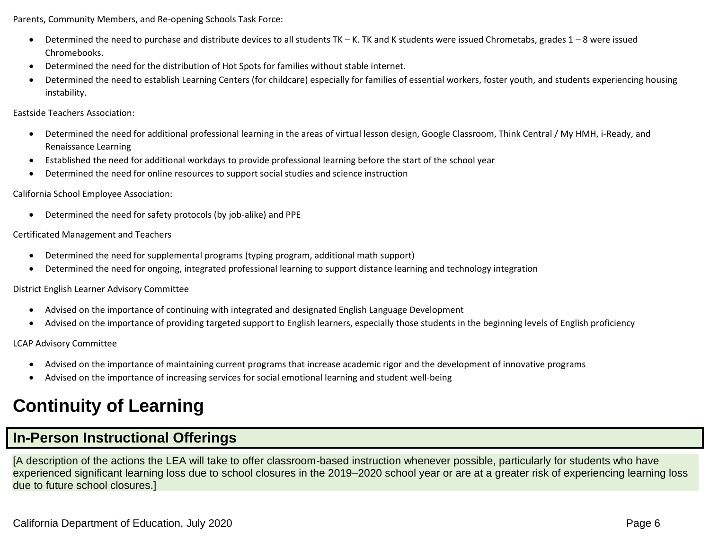Parents, Community Members, and Re-opening Schools Task Force:

- Determined the need to purchase and distribute devices to all students TK K. TK and K students were issued Chrometabs, grades 1 8 were issued Chromebooks.
- Determined the need for the distribution of Hot Spots for families without stable internet.
- Determined the need to establish Learning Centers (for childcare) especially for families of essential workers, foster youth, and students experiencing housing instability.

Eastside Teachers Association:

- Determined the need for additional professional learning in the areas of virtual lesson design, Google Classroom, Think Central / My HMH, i-Ready, and Renaissance Learning
- Established the need for additional workdays to provide professional learning before the start of the school year
- Determined the need for online resources to support social studies and science instruction

# California School Employee Association:

• Determined the need for safety protocols (by job-alike) and PPE

# Certificated Management and Teachers

- Determined the need for supplemental programs (typing program, additional math support)
- Determined the need for ongoing, integrated professional learning to support distance learning and technology integration

## District English Learner Advisory Committee

- Advised on the importance of continuing with integrated and designated English Language Development
- Advised on the importance of providing targeted support to English learners, especially those students in the beginning levels of English proficiency

LCAP Advisory Committee

- Advised on the importance of maintaining current programs that increase academic rigor and the development of innovative programs
- Advised on the importance of increasing services for social emotional learning and student well-being

# **Continuity of Learning**

# **In-Person Instructional Offerings**

[A description of the actions the LEA will take to offer classroom-based instruction whenever possible, particularly for students who have experienced significant learning loss due to school closures in the 2019–2020 school year or are at a greater risk of experiencing learning loss due to future school closures.]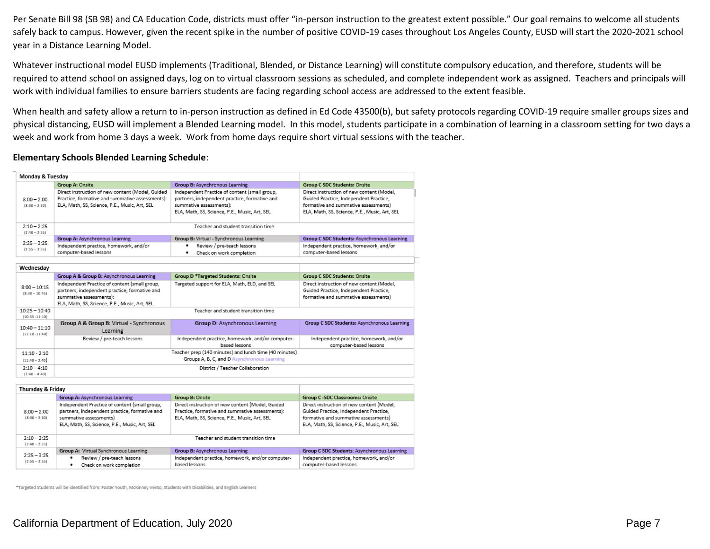Per Senate Bill 98 (SB 98) and CA Education Code, districts must offer "in-person instruction to the greatest extent possible." Our goal remains to welcome all students safely back to campus. However, given the recent spike in the number of positive COVID-19 cases throughout Los Angeles County, EUSD will start the 2020-2021 school year in a Distance Learning Model.

Whatever instructional model EUSD implements (Traditional, Blended, or Distance Learning) will constitute compulsory education, and therefore, students will be required to attend school on assigned days, log on to virtual classroom sessions as scheduled, and complete independent work as assigned. Teachers and principals will work with individual families to ensure barriers students are facing regarding school access are addressed to the extent feasible.

When health and safety allow a return to in-person instruction as defined in Ed Code 43500(b), but safety protocols regarding COVID-19 require smaller groups sizes and physical distancing, EUSD will implement a Blended Learning model. In this model, students participate in a combination of learning in a classroom setting for two days a week and work from home 3 days a week. Work from home days require short virtual sessions with the teacher.

#### **Elementary Schools Blended Learning Schedule**:

| Monday & Tuesday                     |                                                                                                                                                                            |                                                                                                                                                                            |                                                                                                                                                                              |
|--------------------------------------|----------------------------------------------------------------------------------------------------------------------------------------------------------------------------|----------------------------------------------------------------------------------------------------------------------------------------------------------------------------|------------------------------------------------------------------------------------------------------------------------------------------------------------------------------|
|                                      | Group A: Onsite                                                                                                                                                            | Group B: Asynchronous Learning                                                                                                                                             | <b>Group C SDC Students: Onsite</b>                                                                                                                                          |
| $8:00 - 2:00$<br>$[8:30 - 2:30]$     | Direct instruction of new content (Model, Guided<br>Practice, formative and summative assessments):<br>ELA, Math, SS, Science, P.E., Music, Art, SEL                       | Independent Practice of content (small group,<br>partners, independent practice, formative and<br>summative assessments):<br>ELA, Math, SS, Science, P.E., Music, Art, SEL | Direct instruction of new content (Model,<br>Guided Practice, Independent Practice,<br>formative and summative assessments)<br>ELA, Math, SS, Science, P.E., Music, Art, SEL |
| $2:10 - 2:25$<br>$[2:40 - 2:55]$     |                                                                                                                                                                            | Teacher and student transition time                                                                                                                                        |                                                                                                                                                                              |
|                                      | Group A: Asynchronous Learning                                                                                                                                             | Group B: Virtual - Synchronous Learning                                                                                                                                    | Group C SDC Students: Asynchronous Learning                                                                                                                                  |
| $2:25 - 3:25$<br>$[2:55 - 3:55]$     | Independent practice, homework, and/or<br>computer-based lessons                                                                                                           | Review / pre-teach lessons<br>Check on work completion<br>٠                                                                                                                | Independent practice, homework, and/or<br>computer-based lessons                                                                                                             |
|                                      |                                                                                                                                                                            |                                                                                                                                                                            |                                                                                                                                                                              |
| Wednesdav                            |                                                                                                                                                                            |                                                                                                                                                                            |                                                                                                                                                                              |
|                                      | Group A & Group B: Asynchronous Learning                                                                                                                                   | Group D <sup>*</sup> Targeted Students: Onsite                                                                                                                             | <b>Group C SDC Students: Onsite</b>                                                                                                                                          |
| $8:00 - 10:15$<br>$[8:30 - 10:45]$   | Independent Practice of content (small group,<br>partners, independent practice, formative and<br>summative assessments):<br>ELA, Math, SS, Science, P.E., Music, Art, SEL | Targeted support for ELA, Math, ELD, and SEL                                                                                                                               | Direct instruction of new content (Model,<br>Guided Practice, Independent Practice,<br>formative and summative assessments)                                                  |
| $10:25 - 10:40$<br>$(10:55 - 11:10)$ |                                                                                                                                                                            | Teacher and student transition time                                                                                                                                        |                                                                                                                                                                              |
| $10:40 - 11:10$<br>$(11:10-11:40)$   | Group A & Group B: Virtual - Synchronous<br>Learning                                                                                                                       | Group D: Asynchronous Learning                                                                                                                                             | Group C SDC Students: Asynchronous Learning                                                                                                                                  |
|                                      | Review / pre-teach lessons                                                                                                                                                 | Independent practice, homework, and/or computer-<br>based lessons                                                                                                          | Independent practice, homework, and/or<br>computer-based lessons                                                                                                             |
| $11:10 - 2:10$                       |                                                                                                                                                                            | Teacher prep (140 minutes) and lunch time (40 minutes)                                                                                                                     |                                                                                                                                                                              |
| $(11:40 - 2:40)$                     |                                                                                                                                                                            | Groups A, B, C, and D Asynchronous Learning                                                                                                                                |                                                                                                                                                                              |
| $2:10 - 4:10$<br>$[2:40 - 4:40]$     |                                                                                                                                                                            | District / Teacher Collaboration                                                                                                                                           |                                                                                                                                                                              |
|                                      |                                                                                                                                                                            |                                                                                                                                                                            |                                                                                                                                                                              |

| Thursday & Friday                |                                               |                                                                                       |                                               |
|----------------------------------|-----------------------------------------------|---------------------------------------------------------------------------------------|-----------------------------------------------|
|                                  | Group A: Asynchronous Learning                | Group B: Onsite                                                                       | Group C -SDC Classrooms: Onsite               |
|                                  | Independent Practice of content (small group, | Direct instruction of new content (Model, Guided                                      | Direct instruction of new content (Model,     |
| $8:00 - 2:00$                    | partners, independent practice, formative and | Practice, formative and summative assessments):                                       | Guided Practice, Independent Practice,        |
| $[8:30 - 2:30]$                  | summative assessments)                        | formative and summative assessments)<br>ELA, Math, SS, Science, P.E., Music, Art, SEL |                                               |
|                                  | ELA, Math, SS, Science, P.E., Music, Art, SEL |                                                                                       | ELA, Math, SS, Science, P.E., Music, Art, SEL |
|                                  |                                               |                                                                                       |                                               |
| $2 - 10 - 2 - 25$                |                                               | Teacher and student transition time                                                   |                                               |
| $[2:40 - 2:55]$                  |                                               |                                                                                       |                                               |
|                                  | Group A: Virtual Synchronous Learning         | Group B: Asynchronous Learning                                                        | Group C SDC Students: Asynchronous Learning   |
| $2:25 - 3:25$<br>$[2:55 - 3:55]$ | Review / pre-teach lessons                    | Independent practice, homework, and/or computer-                                      | Independent practice, homework, and/or        |
|                                  | Check on work completion<br>٠                 | based lessons                                                                         | computer-based lessons                        |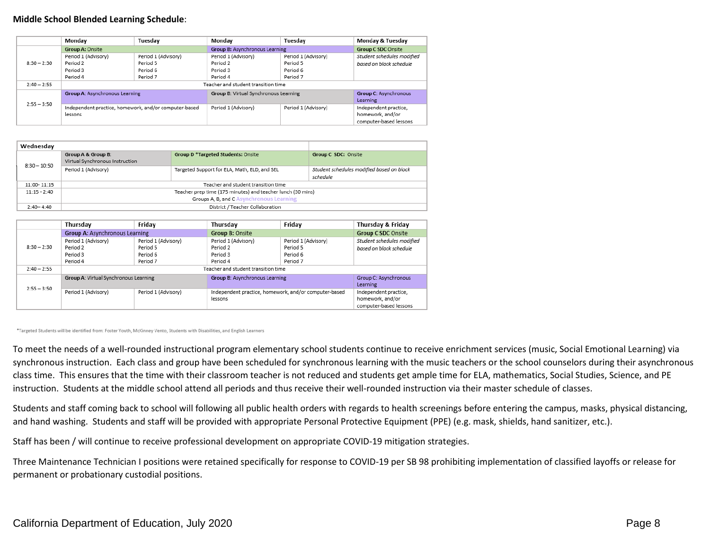#### **Middle School Blended Learning Schedule**:

|               | Monday                         | Tuesday                                               | Mondav                                | Tuesday             | Monday & Tuesday                  |
|---------------|--------------------------------|-------------------------------------------------------|---------------------------------------|---------------------|-----------------------------------|
|               | Group A: Onsite                |                                                       | Group B: Asynchronous Learning        |                     | <b>Group C SDC Onsite</b>         |
|               | Period 1 (Advisory)            | Period 1 (Advisory)                                   | Period 1 (Advisory)                   | Period 1 (Advisory) | Student schedules modified        |
| $8:30 - 2:30$ | Period 2                       | Period 5                                              | Period 2                              | Period 5            | based on block schedule           |
|               | Period 3                       | Period 6                                              | Period 3                              | Period 6            |                                   |
|               | Period 4                       | Period 7                                              | Period 4                              | Period 7            |                                   |
| $2:40 - 2:55$ |                                |                                                       | Teacher and student transition time   |                     |                                   |
|               | Group A: Asynchronous Learning |                                                       | Group B: Virtual Synchronous Learning |                     | Group C: Asynchronous<br>Learning |
| $2:55 - 3:50$ |                                |                                                       | Period 1 (Advisory)                   |                     |                                   |
|               |                                | Independent practice, homework, and/or computer-based |                                       | Period 1 (Advisory) | Independent practice,             |
|               | lessons                        |                                                       |                                       |                     | homework, and/or                  |
|               |                                |                                                       |                                       |                     | computer-based lessons            |

| Wednesdav      |                                                       |                                                             |                                                       |  |  |
|----------------|-------------------------------------------------------|-------------------------------------------------------------|-------------------------------------------------------|--|--|
| $8:30 - 10:50$ | Group A & Group B:<br>Virtual Synchronous Instruction | <b>Group D*Targeted Students: Onsite</b>                    | Group C SDC: Onsite                                   |  |  |
|                | Period 1 (Advisory)                                   | Targeted Support for ELA, Math, ELD, and SEL                | Student schedules modified based on block<br>schedule |  |  |
| 11:00-11:15    |                                                       | Teacher and student transition time                         |                                                       |  |  |
| $11:15 - 2:40$ |                                                       | Teacher prep time (175 minutes) and teacher lunch (30 mins) |                                                       |  |  |
|                | Groups A, B, and C Asynchronous Learning              |                                                             |                                                       |  |  |
| $2:40 - 4:40$  | District / Teacher Collaboration                      |                                                             |                                                       |  |  |

|               | Thursday                              | Friday              | Thursday                                                         | Friday              | Thursday & Friday                                                   |
|---------------|---------------------------------------|---------------------|------------------------------------------------------------------|---------------------|---------------------------------------------------------------------|
|               | Group A: Asynchronous Learning        |                     | Group B: Onsite                                                  |                     | <b>Group C SDC Onsite</b>                                           |
|               | Period 1 (Advisory)                   | Period 1 (Advisory) | Period 1 (Advisory)                                              | Period 1 (Advisory) | Student schedules modified                                          |
| $8:30 - 2:30$ | Period 2                              | Period 5            | Period <sub>2</sub>                                              | Period 5            | based on block schedule                                             |
|               | Period 3                              | Period 6            | Period 3                                                         | Period 6            |                                                                     |
|               | Period 4                              | Period 7            | Period 4                                                         | Period <sub>7</sub> |                                                                     |
| $2:40 - 2:55$ | Teacher and student transition time   |                     |                                                                  |                     |                                                                     |
| $2:55 - 3:50$ | Group A: Virtual Synchronous Learning |                     | Group B: Asynchronous Learning                                   |                     | Group C: Asynchronous<br>Learning                                   |
|               | Period 1 (Advisory)                   | Period 1 (Advisory) | Independent practice, homework, and/or computer-based<br>lessons |                     | Independent practice,<br>homework, and/or<br>computer-based lessons |

\*Targeted Students will be identified from: Foster Youth, McKinney Vento, Students with Disabilities, and English Learners

To meet the needs of a well-rounded instructional program elementary school students continue to receive enrichment services (music, Social Emotional Learning) via synchronous instruction. Each class and group have been scheduled for synchronous learning with the music teachers or the school counselors during their asynchronous class time. This ensures that the time with their classroom teacher is not reduced and students get ample time for ELA, mathematics, Social Studies, Science, and PE instruction. Students at the middle school attend all periods and thus receive their well-rounded instruction via their master schedule of classes.

Students and staff coming back to school will following all public health orders with regards to health screenings before entering the campus, masks, physical distancing, and hand washing. Students and staff will be provided with appropriate Personal Protective Equipment (PPE) (e.g. mask, shields, hand sanitizer, etc.).

Staff has been / will continue to receive professional development on appropriate COVID-19 mitigation strategies.

Three Maintenance Technician I positions were retained specifically for response to COVID-19 per SB 98 prohibiting implementation of classified layoffs or release for permanent or probationary custodial positions.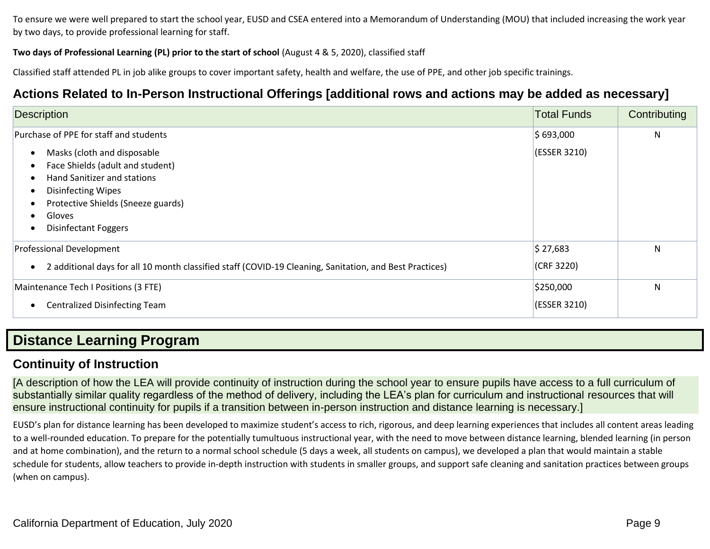To ensure we were well prepared to start the school year, EUSD and CSEA entered into a Memorandum of Understanding (MOU) that included increasing the work year by two days, to provide professional learning for staff.

## **Two days of Professional Learning (PL) prior to the start of school** (August 4 & 5, 2020), classified staff

Classified staff attended PL in job alike groups to cover important safety, health and welfare, the use of PPE, and other job specific trainings.

# **Actions Related to In-Person Instructional Offerings [additional rows and actions may be added as necessary]**

| <b>Description</b>                                                                                                                                                                                         | <b>Total Funds</b>        | Contributing |
|------------------------------------------------------------------------------------------------------------------------------------------------------------------------------------------------------------|---------------------------|--------------|
| Purchase of PPE for staff and students                                                                                                                                                                     | \$693,000                 | N            |
| Masks (cloth and disposable<br>Face Shields (adult and student)<br>Hand Sanitizer and stations<br><b>Disinfecting Wipes</b><br>Protective Shields (Sneeze guards)<br>Gloves<br><b>Disinfectant Foggers</b> | (ESSER 3210)              |              |
| Professional Development<br>2 additional days for all 10 month classified staff (COVID-19 Cleaning, Sanitation, and Best Practices)                                                                        | \$27,683<br>(CRF 3220)    | N            |
| Maintenance Tech I Positions (3 FTE)<br>Centralized Disinfecting Team                                                                                                                                      | \$250,000<br>(ESSER 3210) | N            |

# **Distance Learning Program**

# **Continuity of Instruction**

[A description of how the LEA will provide continuity of instruction during the school year to ensure pupils have access to a full curriculum of substantially similar quality regardless of the method of delivery, including the LEA's plan for curriculum and instructional resources that will ensure instructional continuity for pupils if a transition between in-person instruction and distance learning is necessary.]

EUSD's plan for distance learning has been developed to maximize student's access to rich, rigorous, and deep learning experiences that includes all content areas leading to a well-rounded education. To prepare for the potentially tumultuous instructional year, with the need to move between distance learning, blended learning (in person and at home combination), and the return to a normal school schedule (5 days a week, all students on campus), we developed a plan that would maintain a stable schedule for students, allow teachers to provide in-depth instruction with students in smaller groups, and support safe cleaning and sanitation practices between groups (when on campus).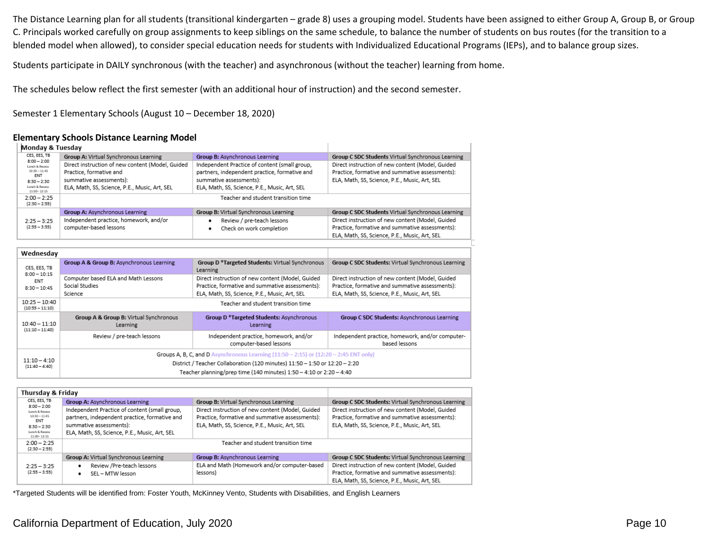The Distance Learning plan for all students (transitional kindergarten – grade 8) uses a grouping model. Students have been assigned to either Group A, Group B, or Group C. Principals worked carefully on group assignments to keep siblings on the same schedule, to balance the number of students on bus routes (for the transition to a blended model when allowed), to consider special education needs for students with Individualized Educational Programs (IEPs), and to balance group sizes.

Students participate in DAILY synchronous (with the teacher) and asynchronous (without the teacher) learning from home.

The schedules below reflect the first semester (with an additional hour of instruction) and the second semester.

Semester 1 Elementary Schools (August 10 – December 18, 2020)

### **Elementary Schools Distance Learning Model**

| Monday & Tuesday                     |                                                    |                                                                                           |                                                                   |
|--------------------------------------|----------------------------------------------------|-------------------------------------------------------------------------------------------|-------------------------------------------------------------------|
| CES, EES, TB                         | Group A: Virtual Synchronous Learning              | Group B: Asynchronous Learning                                                            | Group C SDC Students Virtual Synchronous Learning                 |
| $8:00 - 2:00$<br>Lunch & Recess      | Direct instruction of new content (Model, Guided   | Independent Practice of content (small group,                                             | Direct instruction of new content (Model, Guided                  |
| $10:30 - 11:45$<br><b>ENT</b>        | Practice, formative and                            | partners, independent practice, formative and                                             | Practice, formative and summative assessments):                   |
| $8:30 - 2:30$                        | summative assessments):                            | summative assessments):                                                                   | ELA, Math, SS, Science, P.E., Music, Art, SEL                     |
| Lunch & Recess<br>$11:00 - 12:15$    | ELA, Math, SS, Science, P.E., Music, Art, SEL      | ELA, Math, SS, Science, P.E., Music, Art, SEL                                             |                                                                   |
| $2:00 - 2:25$<br>$(2:30 - 2:55)$     |                                                    | Teacher and student transition time                                                       |                                                                   |
|                                      | Group A: Asynchronous Learning                     | Group B: Virtual Synchronous Learning                                                     | Group C SDC Students Virtual Synchronous Learning                 |
| $2:25 - 3:25$                        | Independent practice, homework, and/or             | Review / pre-teach lessons                                                                | Direct instruction of new content (Model, Guided                  |
| $(2:55 - 3:55)$                      | computer-based lessons                             | Check on work completion<br>٠                                                             | Practice, formative and summative assessments):                   |
|                                      |                                                    |                                                                                           | ELA, Math, SS, Science, P.E., Music, Art, SEL                     |
|                                      |                                                    |                                                                                           |                                                                   |
| Wednesday                            |                                                    |                                                                                           |                                                                   |
| CES, EES, TB<br>$8:00 - 10:15$       | Group A & Group B: Asynchronous Learning           | Group D *Targeted Students: Virtual Synchronous<br>Learning                               | Group C SDC Students: Virtual Synchronous Learning                |
| ENT                                  | Computer based ELA and Math Lessons                | Direct instruction of new content (Model, Guided                                          | Direct instruction of new content (Model, Guided                  |
| $8:30 - 10:45$                       | Social Studies                                     | Practice, formative and summative assessments):                                           | Practice, formative and summative assessments):                   |
|                                      | Science                                            | ELA, Math, SS, Science, P.E., Music, Art, SEL                                             | ELA, Math, SS, Science, P.E., Music, Art, SEL                     |
| $10:25 - 10:40$<br>$(10:55 - 11:10)$ |                                                    | Teacher and student transition time                                                       |                                                                   |
| $10:40 - 11:10$<br>$(11:10 - 11:40)$ | Group A & Group B: Virtual Synchronous<br>Learning | Group D *Targeted Students: Asynchronous<br>Learning                                      | Group C SDC Students: Asynchronous Learning                       |
|                                      | Review / pre-teach lessons                         | Independent practice, homework, and/or<br>computer-based lessons                          | Independent practice, homework, and/or computer-<br>based lessons |
|                                      |                                                    | Groups A, B, C, and D Asynchronous Learning $(11:50 - 2:15)$ or $(12:20 - 2:45$ ENT only) |                                                                   |
| $11:10 - 4:10$<br>$(11:40 - 4:40)$   |                                                    | District / Teacher Collaboration (120 minutes) 11:50 - 1:50 or 12:20 - 2:20               |                                                                   |
|                                      |                                                    | Teacher planning/prep time (140 minutes) 1:50 - 4:10 or 2:20 - 4:40                       |                                                                   |
|                                      |                                                    |                                                                                           |                                                                   |

| Thursday & Friday                 |                                               |                                                  |                                                    |
|-----------------------------------|-----------------------------------------------|--------------------------------------------------|----------------------------------------------------|
| CES, EES, TB                      | Group A: Asynchronous Learning                | Group B: Virtual Synchronous Learning            | Group C SDC Students: Virtual Synchronous Learning |
| $8:00 - 2:00$<br>Lunch & Recess   | Independent Practice of content (small group, | Direct instruction of new content (Model, Guided | Direct instruction of new content (Model, Guided   |
| $10.30 - 11.45$<br><b>ENT</b>     | partners, independent practice, formative and | Practice, formative and summative assessments):  | Practice, formative and summative assessments):    |
| $8:30 - 2:30$                     | summative assessments):                       | ELA, Math, SS, Science, P.E., Music, Art, SEL    | ELA, Math, SS, Science, P.E., Music, Art, SEL      |
| Lunch & Recess<br>$11:00 - 12:15$ | ELA, Math, SS, Science, P.E., Music, Art, SEL |                                                  |                                                    |
| $2:00 - 2:25$<br>$(2:30 - 2:55)$  |                                               | Teacher and student transition time              |                                                    |
|                                   | Group A: Virtual Synchronous Learning         | Group B: Asynchronous Learning                   | Group C SDC Students: Virtual Synchronous Learning |
| $2:25 - 3:25$                     | Review /Pre-teach lessons                     | ELA and Math (Homework and/or computer-based     | Direct instruction of new content (Model, Guided   |
| $(2:55 - 3:55)$                   | SEL - MTW lesson<br>٠                         | lessons)                                         | Practice, formative and summative assessments):    |
|                                   |                                               |                                                  | ELA, Math, SS, Science, P.E., Music, Art, SEL      |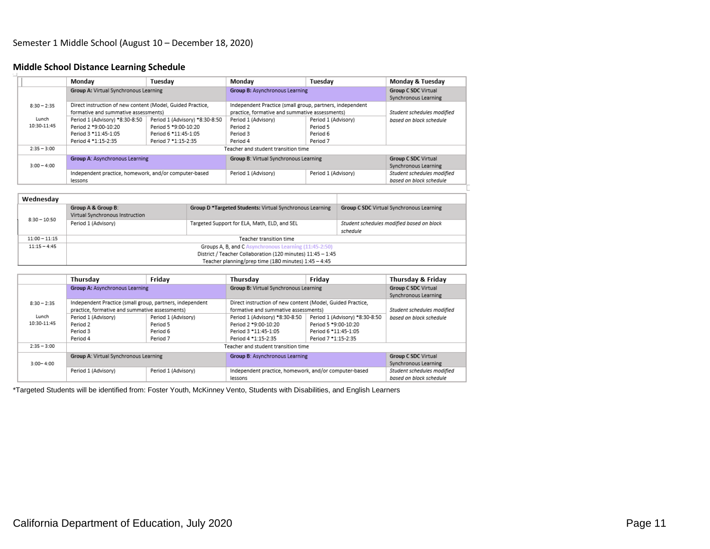### **Middle School Distance Learning Schedule**

|               | Mondav                                                     | Tuesdav                        | Mondav                                                   | Tuesdav             | Monday & Tuesday           |
|---------------|------------------------------------------------------------|--------------------------------|----------------------------------------------------------|---------------------|----------------------------|
|               | Group A: Virtual Synchronous Learning                      |                                | Group B: Asynchronous Learning                           |                     | <b>Group C SDC Virtual</b> |
|               |                                                            |                                |                                                          |                     | Synchronous Learning       |
| $8:30 - 2:35$ | Direct instruction of new content (Model, Guided Practice, |                                | Independent Practice (small group, partners, independent |                     |                            |
|               | formative and summative assessments)                       |                                | practice, formative and summative assessments)           |                     | Student schedules modified |
| Lunch         | Period 1 (Advisory) *8:30-8:50                             | Period 1 (Advisory) *8:30-8:50 | Period 1 (Advisory)                                      | Period 1 (Advisory) | based on block schedule    |
| 10:30-11:45   | Period 2 *9:00-10:20                                       | Period 5 *9:00-10:20           | Period 2                                                 | Period 5            |                            |
|               | Period 3 *11:45-1:05                                       | Period 6 *11:45-1:05           | Period 3                                                 | Period 6            |                            |
|               | Period 4 *1:15-2:35                                        | Period 7 *1:15-2:35            | Period 4                                                 | Period 7            |                            |
| $2:35 - 3:00$ |                                                            |                                | Teacher and student transition time                      |                     |                            |
|               | Group A: Asynchronous Learning                             |                                | Group B: Virtual Synchronous Learning                    |                     | <b>Group C SDC Virtual</b> |
| $3:00 - 4:00$ |                                                            |                                |                                                          |                     | Synchronous Learning       |
|               | Independent practice, homework, and/or computer-based      |                                | Period 1 (Advisory)                                      | Period 1 (Advisory) | Student schedules modified |
|               | lessons                                                    |                                |                                                          |                     | based on block schedule    |

| Wednesday       |                                                             |                                                          |                                                       |  |  |
|-----------------|-------------------------------------------------------------|----------------------------------------------------------|-------------------------------------------------------|--|--|
| $8:30 - 10:50$  | Group A & Group B:<br>Virtual Synchronous Instruction       | Group D *Targeted Students: Virtual Synchronous Learning | Group C SDC Virtual Synchronous Learning              |  |  |
|                 | Period 1 (Advisory)                                         | Targeted Support for ELA, Math, ELD, and SEL             | Student schedules modified based on block<br>schedule |  |  |
| $11:00 - 11:15$ | Teacher transition time                                     |                                                          |                                                       |  |  |
| $11:15 - 4:45$  | Groups A, B, and C Asynchronous Learning (11:45-2:50)       |                                                          |                                                       |  |  |
|                 | District / Teacher Collaboration (120 minutes) 11:45 - 1:45 |                                                          |                                                       |  |  |
|                 |                                                             | Teacher planning/prep time (180 minutes) 1:45 - 4:45     |                                                       |  |  |

|               | Thursday                                                 | Friday              | Thursday                                                   | Friday                         | Thursday & Friday          |
|---------------|----------------------------------------------------------|---------------------|------------------------------------------------------------|--------------------------------|----------------------------|
|               | Group A: Asynchronous Learning                           |                     | Group B: Virtual Synchronous Learning                      |                                | <b>Group C SDC Virtual</b> |
|               |                                                          |                     |                                                            |                                | Synchronous Learning       |
| $8:30 - 2:35$ | Independent Practice (small group, partners, independent |                     | Direct instruction of new content (Model, Guided Practice, |                                |                            |
|               | practice, formative and summative assessments)           |                     | formative and summative assessments)                       |                                | Student schedules modified |
| Lunch         | Period 1 (Advisory)                                      | Period 1 (Advisory) | Period 1 (Advisory) *8:30-8:50                             | Period 1 (Advisory) *8:30-8:50 | based on block schedule    |
| 10:30-11:45   | Period 2                                                 | Period 5            | Period 2 *9:00-10:20                                       | Period 5 *9:00-10:20           |                            |
|               | Period 3                                                 | Period 6            | Period 3 *11:45-1:05                                       | Period 6 *11:45-1:05           |                            |
|               | Period 4                                                 | Period 7            | Period 4 *1:15-2:35                                        | Period 7 *1:15-2:35            |                            |
| $2:35 - 3:00$ |                                                          |                     | Teacher and student transition time                        |                                |                            |
|               | Group A: Virtual Synchronous Learning                    |                     | Group B: Asynchronous Learning                             |                                | <b>Group C SDC Virtual</b> |
| $3:00 - 4:00$ |                                                          |                     |                                                            |                                | Synchronous Learning       |
|               | Period 1 (Advisory)                                      | Period 1 (Advisory) | Independent practice, homework, and/or computer-based      |                                | Student schedules modified |
|               |                                                          |                     | lessons                                                    |                                | based on block schedule    |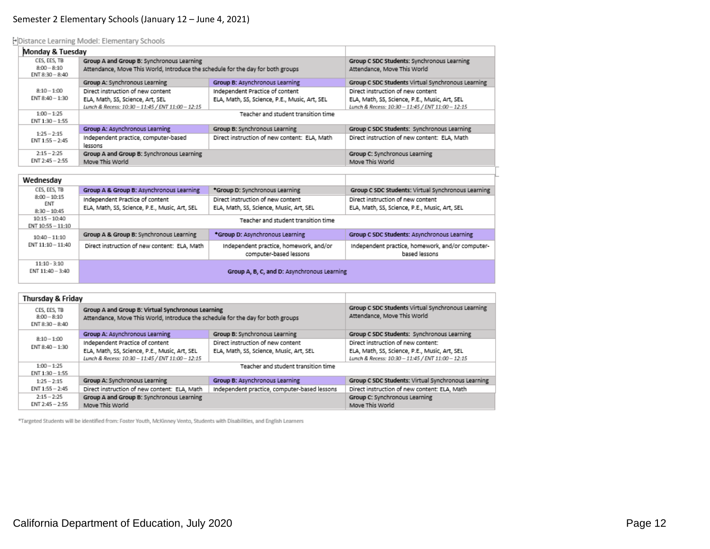### Semester 2 Elementary Schools (January 12 – June 4, 2021)

Distance Learning Model: Elementary Schools

| Monday & Tuesday                   |                                                                                                                              |                                               |                                                                           |
|------------------------------------|------------------------------------------------------------------------------------------------------------------------------|-----------------------------------------------|---------------------------------------------------------------------------|
| CES, EES, TB<br>$8:00 - 8:10$      | Group A and Group B: Synchronous Learning<br>Attendance, Move This World, Introduce the schedule for the day for both groups |                                               | Group C SDC Students: Synchronous Learning<br>Attendance, Move This World |
| $ENT 8:30 - 8:40$                  |                                                                                                                              |                                               |                                                                           |
|                                    | Group A: Synchronous Learning                                                                                                | Group B: Asynchronous Learning                | Group C SDC Students Virtual Synchronous Learning                         |
| $8:10 - 1:00$                      | Direct instruction of new content                                                                                            | Independent Practice of content               | Direct instruction of new content                                         |
| $ENT 8:40 - 1:30$                  | ELA, Math, SS, Science, Art, SEL                                                                                             | ELA, Math, SS, Science, P.E., Music, Art, SEL | ELA, Math, SS, Science, P.E., Music, Art, SEL                             |
|                                    | Lunch & Recess: 10:30 - 11:45 / ENT 11:00 - 12:15                                                                            |                                               | Lunch & Recess: 10:30 - 11:45 / ENT 11:00 - 12:15                         |
| $1:00 - 1:25$<br>$ENT 1:30 - 1:55$ | Teacher and student transition time                                                                                          |                                               |                                                                           |
| $1:25 - 2:15$                      | Group A: Asynchronous Learning                                                                                               | Group B: Synchronous Learning                 | Group C SDC Students: Synchronous Learning                                |
| $ENT 1:55 - 2:45$                  | Independent practice, computer-based<br>lessons                                                                              | Direct instruction of new content: ELA, Math  | Direct instruction of new content: ELA, Math                              |
| $2.15 - 2.25$                      | Group A and Group B: Synchronous Learning                                                                                    |                                               | Group C: Synchronous Learning                                             |
| $ENT 2:45 - 2:55$                  | Move This World                                                                                                              |                                               | Move This World                                                           |

| Wednesday             |                                               |                                                                  |                                                                   |  |
|-----------------------|-----------------------------------------------|------------------------------------------------------------------|-------------------------------------------------------------------|--|
| CES, EES, TB          | Group A & Group B: Asynchronous Learning      | *Group D: Synchronous Learning                                   | Group C SDC Students: Virtual Synchronous Learning                |  |
| $8:00 - 10:15$<br>ENT | Independent Practice of content               | Direct instruction of new content                                | Direct instruction of new content                                 |  |
| $8:30 - 10:45$        | ELA, Math, SS, Science, P.E., Music, Art, SEL | ELA, Math, SS, Science, Music, Art, SEL                          | ELA, Math, SS, Science, P.E., Music, Art, SEL                     |  |
| $10:15 - 10:40$       | Teacher and student transition time           |                                                                  |                                                                   |  |
| ENT 10:55 - 11:10     |                                               |                                                                  |                                                                   |  |
| $10:40 - 11:10$       |                                               |                                                                  |                                                                   |  |
|                       | Group A & Group B: Synchronous Learning       | *Group D: Asynchronous Learning                                  | Group C SDC Students: Asynchronous Learning                       |  |
| ENT 11:10 - 11:40     | Direct instruction of new content: ELA, Math  | Independent practice, homework, and/or<br>computer-based lessons | Independent practice, homework, and/or computer-<br>based lessons |  |

| Thursday & Friday                                  |                                                                                                                                      |                                              |                                                                                  |
|----------------------------------------------------|--------------------------------------------------------------------------------------------------------------------------------------|----------------------------------------------|----------------------------------------------------------------------------------|
| CES, EES, TB<br>$8:00 - 8:10$<br>$ENT 8:30 - 8:40$ | Group A and Group B: Virtual Synchronous Learning<br>Attendance, Move This World, Introduce the schedule for the day for both groups |                                              | Group C SDC Students Virtual Synchronous Learning<br>Attendance, Move This World |
|                                                    | Group A: Asynchronous Learning                                                                                                       | Group B: Synchronous Learning                | Group C SDC Students: Synchronous Learning                                       |
| $8:10 - 1:00$<br>$ENT 8:40 - 1:30$                 | Independent Practice of content                                                                                                      | Direct instruction of new content            | Direct instruction of new content:                                               |
|                                                    | ELA, Math, SS, Science, P.E., Music, Art, SEL                                                                                        | ELA, Math, SS, Science, Music, Art, SEL      | ELA, Math, SS, Science, P.E., Music, Art, SEL                                    |
|                                                    | Lunch & Recess: 10:30 - 11:45 / ENT 11:00 - 12:15                                                                                    |                                              | Lunch & Recess: 10:30 - 11:45 / ENT 11:00 - 12:15                                |
| $1:00 - 1:25$                                      | Teacher and student transition time                                                                                                  |                                              |                                                                                  |
| ENT 1:30 - 1:55                                    |                                                                                                                                      |                                              |                                                                                  |
| $1:25 - 2:15$                                      | Group A: Synchronous Learning                                                                                                        | Group B: Asynchronous Learning               | Group C SDC Students: Virtual Synchronous Learning                               |
| $ENT 1:55 - 2:45$                                  | Direct instruction of new content: ELA, Math                                                                                         | Independent practice, computer-based lessons | Direct instruction of new content: ELA, Math                                     |
| $2:15 - 2:25$                                      | Group A and Group B: Synchronous Learning                                                                                            |                                              | Group C: Synchronous Learning                                                    |
| $ENT 2:45 - 2:55$                                  | Move This World                                                                                                                      |                                              | Move This World                                                                  |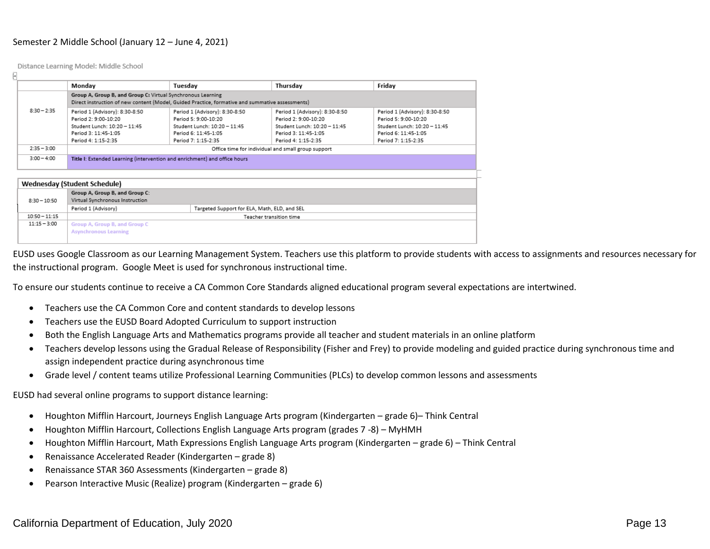#### Semester 2 Middle School (January 12 – June 4, 2021)

Distance Learning Model: Middle School

L.

|                                                                                                 | Monday                                                                    | Tuesday                        | Thursday                                           | Friday                         |  |  |
|-------------------------------------------------------------------------------------------------|---------------------------------------------------------------------------|--------------------------------|----------------------------------------------------|--------------------------------|--|--|
|                                                                                                 | Group A, Group B, and Group C: Virtual Synchronous Learning               |                                |                                                    |                                |  |  |
| Direct instruction of new content (Model, Guided Practice, formative and summative assessments) |                                                                           |                                |                                                    |                                |  |  |
| $8:30 - 2:35$                                                                                   | Period 1 (Advisory): 8:30-8:50                                            | Period 1 (Advisory): 8:30-8:50 | Period 1 (Advisory): 8:30-8:50                     | Period 1 (Advisory): 8:30-8:50 |  |  |
|                                                                                                 | Period 2: 9:00-10:20                                                      | Period 5: 9:00-10:20           | Period 2: 9:00-10:20                               | Period 5: 9:00-10:20           |  |  |
|                                                                                                 | Student Lunch: 10:20 - 11:45                                              | Student Lunch: 10:20 - 11:45   | Student Lunch: 10:20 - 11:45                       | Student Lunch: 10:20 - 11:45   |  |  |
|                                                                                                 | Period 3: 11:45-1:05                                                      | Period 6: 11:45-1:05           | Period 3: 11:45-1:05                               | Period 6: 11:45-1:05           |  |  |
|                                                                                                 | Period 4: 1:15-2:35                                                       | Period 7: 1:15-2:35            | Period 4: 1:15-2:35                                | Period 7: 1:15-2:35            |  |  |
| $2:35 - 3:00$                                                                                   |                                                                           |                                | Office time for individual and small group support |                                |  |  |
| $3:00 - 4:00$                                                                                   | Title I: Extended Learning (intervention and enrichment) and office hours |                                |                                                    |                                |  |  |
|                                                                                                 |                                                                           |                                |                                                    |                                |  |  |
|                                                                                                 | Wednesday (Student Schedule)                                              |                                |                                                    |                                |  |  |
|                                                                                                 | Group A, Group B, and Group C:                                            |                                |                                                    |                                |  |  |
| $8:30 - 10:50$                                                                                  | Virtual Synchronous Instruction                                           |                                |                                                    |                                |  |  |
|                                                                                                 | Period 1 (Advisory)<br>Targeted Support for ELA, Math, ELD, and SEL       |                                |                                                    |                                |  |  |
| $10:50 - 11:15$                                                                                 |                                                                           |                                | Teacher transition time                            |                                |  |  |
| $11:15 - 3:00$                                                                                  | Group A, Group B, and Group C                                             |                                |                                                    |                                |  |  |
|                                                                                                 | <b>Asynchronous Learning</b>                                              |                                |                                                    |                                |  |  |
|                                                                                                 |                                                                           |                                |                                                    |                                |  |  |

EUSD uses Google Classroom as our Learning Management System. Teachers use this platform to provide students with access to assignments and resources necessary for the instructional program. Google Meet is used for synchronous instructional time.

To ensure our students continue to receive a CA Common Core Standards aligned educational program several expectations are intertwined.

- Teachers use the CA Common Core and content standards to develop lessons
- Teachers use the EUSD Board Adopted Curriculum to support instruction
- Both the English Language Arts and Mathematics programs provide all teacher and student materials in an online platform
- Teachers develop lessons using the Gradual Release of Responsibility (Fisher and Frey) to provide modeling and guided practice during synchronous time and assign independent practice during asynchronous time
- Grade level / content teams utilize Professional Learning Communities (PLCs) to develop common lessons and assessments

EUSD had several online programs to support distance learning:

- Houghton Mifflin Harcourt, Journeys English Language Arts program (Kindergarten grade 6)– Think Central
- Houghton Mifflin Harcourt, Collections English Language Arts program (grades 7 -8) MyHMH
- Houghton Mifflin Harcourt, Math Expressions English Language Arts program (Kindergarten grade 6) Think Central
- Renaissance Accelerated Reader (Kindergarten grade 8)
- Renaissance STAR 360 Assessments (Kindergarten grade 8)
- Pearson Interactive Music (Realize) program (Kindergarten grade 6)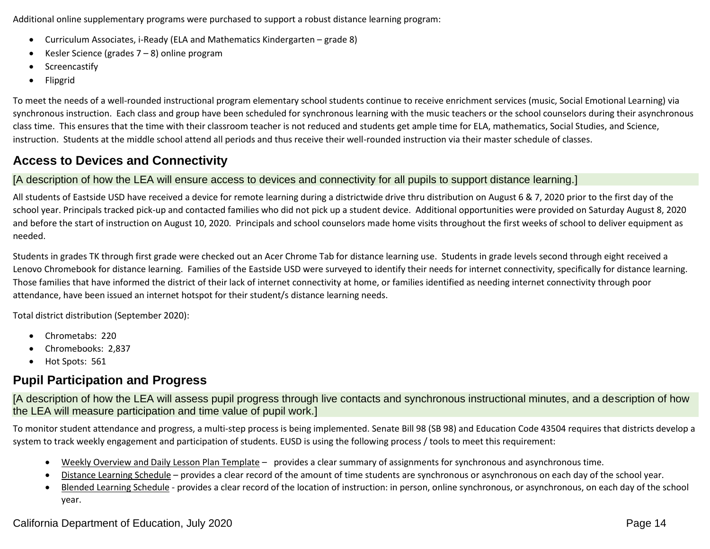Additional online supplementary programs were purchased to support a robust distance learning program:

- Curriculum Associates, i-Ready (ELA and Mathematics Kindergarten grade 8)
- Kesler Science (grades 7 8) online program
- Screencastify
- Flipgrid

To meet the needs of a well-rounded instructional program elementary school students continue to receive enrichment services (music, Social Emotional Learning) via synchronous instruction. Each class and group have been scheduled for synchronous learning with the music teachers or the school counselors during their asynchronous class time. This ensures that the time with their classroom teacher is not reduced and students get ample time for ELA, mathematics, Social Studies, and Science, instruction. Students at the middle school attend all periods and thus receive their well-rounded instruction via their master schedule of classes.

# **Access to Devices and Connectivity**

# [A description of how the LEA will ensure access to devices and connectivity for all pupils to support distance learning.]

All students of Eastside USD have received a device for remote learning during a districtwide drive thru distribution on August 6 & 7, 2020 prior to the first day of the school year. Principals tracked pick-up and contacted families who did not pick up a student device. Additional opportunities were provided on Saturday August 8, 2020 and before the start of instruction on August 10, 2020. Principals and school counselors made home visits throughout the first weeks of school to deliver equipment as needed.

Students in grades TK through first grade were checked out an Acer Chrome Tab for distance learning use. Students in grade levels second through eight received a Lenovo Chromebook for distance learning. Families of the Eastside USD were surveyed to identify their needs for internet connectivity, specifically for distance learning. Those families that have informed the district of their lack of internet connectivity at home, or families identified as needing internet connectivity through poor attendance, have been issued an internet hotspot for their student/s distance learning needs.

Total district distribution (September 2020):

- Chrometabs: 220
- Chromebooks: 2,837
- Hot Spots: 561

# **Pupil Participation and Progress**

[A description of how the LEA will assess pupil progress through live contacts and synchronous instructional minutes, and a description of how the LEA will measure participation and time value of pupil work.]

To monitor student attendance and progress, a multi-step process is being implemented. Senate Bill 98 (SB 98) and Education Code 43504 requires that districts develop a system to track weekly engagement and participation of students. EUSD is using the following process / tools to meet this requirement:

- Weekly Overview and Daily Lesson Plan Template provides a clear summary of assignments for synchronous and asynchronous time.
- Distance Learning Schedule provides a clear record of the amount of time students are synchronous or asynchronous on each day of the school year.
- Blended Learning Schedule provides a clear record of the location of instruction: in person, online synchronous, or asynchronous, on each day of the school year.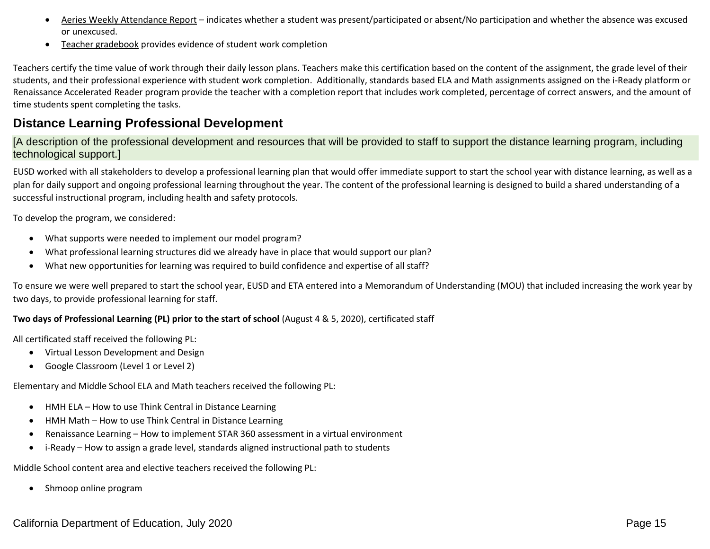- Aeries Weekly Attendance Report indicates whether a student was present/participated or absent/No participation and whether the absence was excused or unexcused.
- Teacher gradebook provides evidence of student work completion

Teachers certify the time value of work through their daily lesson plans. Teachers make this certification based on the content of the assignment, the grade level of their students, and their professional experience with student work completion. Additionally, standards based ELA and Math assignments assigned on the i-Ready platform or Renaissance Accelerated Reader program provide the teacher with a completion report that includes work completed, percentage of correct answers, and the amount of time students spent completing the tasks.

# **Distance Learning Professional Development**

[A description of the professional development and resources that will be provided to staff to support the distance learning program, including technological support.]

EUSD worked with all stakeholders to develop a professional learning plan that would offer immediate support to start the school year with distance learning, as well as a plan for daily support and ongoing professional learning throughout the year. The content of the professional learning is designed to build a shared understanding of a successful instructional program, including health and safety protocols.

To develop the program, we considered:

- What supports were needed to implement our model program?
- What professional learning structures did we already have in place that would support our plan?
- What new opportunities for learning was required to build confidence and expertise of all staff?

To ensure we were well prepared to start the school year, EUSD and ETA entered into a Memorandum of Understanding (MOU) that included increasing the work year by two days, to provide professional learning for staff.

## **Two days of Professional Learning (PL) prior to the start of school** (August 4 & 5, 2020), certificated staff

All certificated staff received the following PL:

- Virtual Lesson Development and Design
- Google Classroom (Level 1 or Level 2)

Elementary and Middle School ELA and Math teachers received the following PL:

- HMH ELA How to use Think Central in Distance Learning
- HMH Math How to use Think Central in Distance Learning
- Renaissance Learning How to implement STAR 360 assessment in a virtual environment
- i-Ready How to assign a grade level, standards aligned instructional path to students

Middle School content area and elective teachers received the following PL:

• Shmoop online program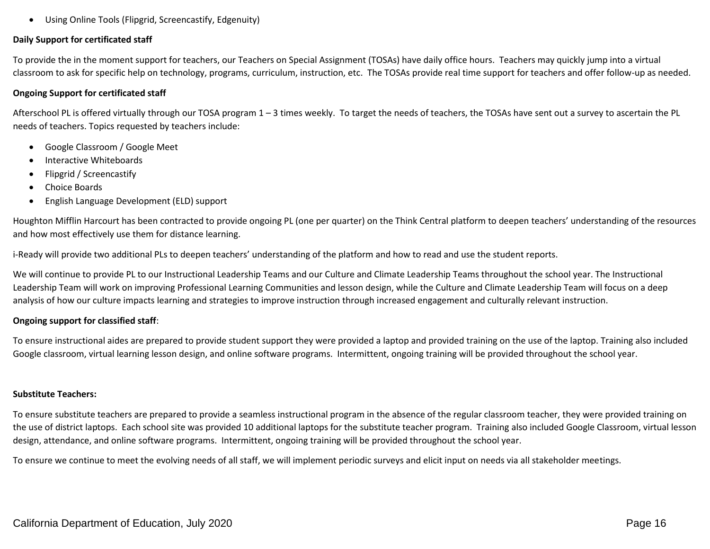• Using Online Tools (Flipgrid, Screencastify, Edgenuity)

### **Daily Support for certificated staff**

To provide the in the moment support for teachers, our Teachers on Special Assignment (TOSAs) have daily office hours. Teachers may quickly jump into a virtual classroom to ask for specific help on technology, programs, curriculum, instruction, etc. The TOSAs provide real time support for teachers and offer follow-up as needed.

#### **Ongoing Support for certificated staff**

Afterschool PL is offered virtually through our TOSA program 1 – 3 times weekly. To target the needs of teachers, the TOSAs have sent out a survey to ascertain the PL needs of teachers. Topics requested by teachers include:

- Google Classroom / Google Meet
- Interactive Whiteboards
- Flipgrid / Screencastify
- Choice Boards
- English Language Development (ELD) support

Houghton Mifflin Harcourt has been contracted to provide ongoing PL (one per quarter) on the Think Central platform to deepen teachers' understanding of the resources and how most effectively use them for distance learning.

i-Ready will provide two additional PLs to deepen teachers' understanding of the platform and how to read and use the student reports.

We will continue to provide PL to our Instructional Leadership Teams and our Culture and Climate Leadership Teams throughout the school year. The Instructional Leadership Team will work on improving Professional Learning Communities and lesson design, while the Culture and Climate Leadership Team will focus on a deep analysis of how our culture impacts learning and strategies to improve instruction through increased engagement and culturally relevant instruction.

### **Ongoing support for classified staff**:

To ensure instructional aides are prepared to provide student support they were provided a laptop and provided training on the use of the laptop. Training also included Google classroom, virtual learning lesson design, and online software programs. Intermittent, ongoing training will be provided throughout the school year.

### **Substitute Teachers:**

To ensure substitute teachers are prepared to provide a seamless instructional program in the absence of the regular classroom teacher, they were provided training on the use of district laptops. Each school site was provided 10 additional laptops for the substitute teacher program. Training also included Google Classroom, virtual lesson design, attendance, and online software programs. Intermittent, ongoing training will be provided throughout the school year.

To ensure we continue to meet the evolving needs of all staff, we will implement periodic surveys and elicit input on needs via all stakeholder meetings.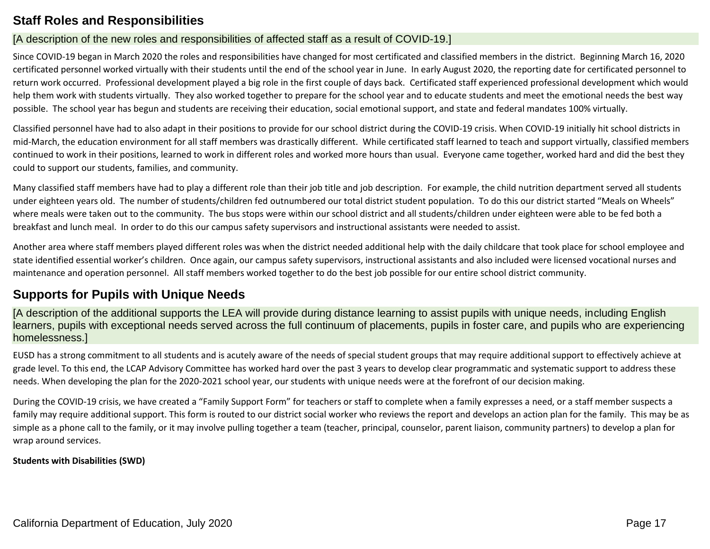# **Staff Roles and Responsibilities**

# [A description of the new roles and responsibilities of affected staff as a result of COVID-19.]

Since COVID-19 began in March 2020 the roles and responsibilities have changed for most certificated and classified members in the district. Beginning March 16, 2020 certificated personnel worked virtually with their students until the end of the school year in June. In early August 2020, the reporting date for certificated personnel to return work occurred. Professional development played a big role in the first couple of days back. Certificated staff experienced professional development which would help them work with students virtually. They also worked together to prepare for the school year and to educate students and meet the emotional needs the best way possible. The school year has begun and students are receiving their education, social emotional support, and state and federal mandates 100% virtually.

Classified personnel have had to also adapt in their positions to provide for our school district during the COVID-19 crisis. When COVID-19 initially hit school districts in mid-March, the education environment for all staff members was drastically different. While certificated staff learned to teach and support virtually, classified members continued to work in their positions, learned to work in different roles and worked more hours than usual. Everyone came together, worked hard and did the best they could to support our students, families, and community.

Many classified staff members have had to play a different role than their job title and job description. For example, the child nutrition department served all students under eighteen years old. The number of students/children fed outnumbered our total district student population. To do this our district started "Meals on Wheels" where meals were taken out to the community. The bus stops were within our school district and all students/children under eighteen were able to be fed both a breakfast and lunch meal. In order to do this our campus safety supervisors and instructional assistants were needed to assist.

Another area where staff members played different roles was when the district needed additional help with the daily childcare that took place for school employee and state identified essential worker's children. Once again, our campus safety supervisors, instructional assistants and also included were licensed vocational nurses and maintenance and operation personnel. All staff members worked together to do the best job possible for our entire school district community.

# **Supports for Pupils with Unique Needs**

[A description of the additional supports the LEA will provide during distance learning to assist pupils with unique needs, including English learners, pupils with exceptional needs served across the full continuum of placements, pupils in foster care, and pupils who are experiencing homelessness.]

EUSD has a strong commitment to all students and is acutely aware of the needs of special student groups that may require additional support to effectively achieve at grade level. To this end, the LCAP Advisory Committee has worked hard over the past 3 years to develop clear programmatic and systematic support to address these needs. When developing the plan for the 2020-2021 school year, our students with unique needs were at the forefront of our decision making.

During the COVID-19 crisis, we have created a "Family Support Form" for teachers or staff to complete when a family expresses a need, or a staff member suspects a family may require additional support. This form is routed to our district social worker who reviews the report and develops an action plan for the family. This may be as simple as a phone call to the family, or it may involve pulling together a team (teacher, principal, counselor, parent liaison, community partners) to develop a plan for wrap around services.

# **Students with Disabilities (SWD)**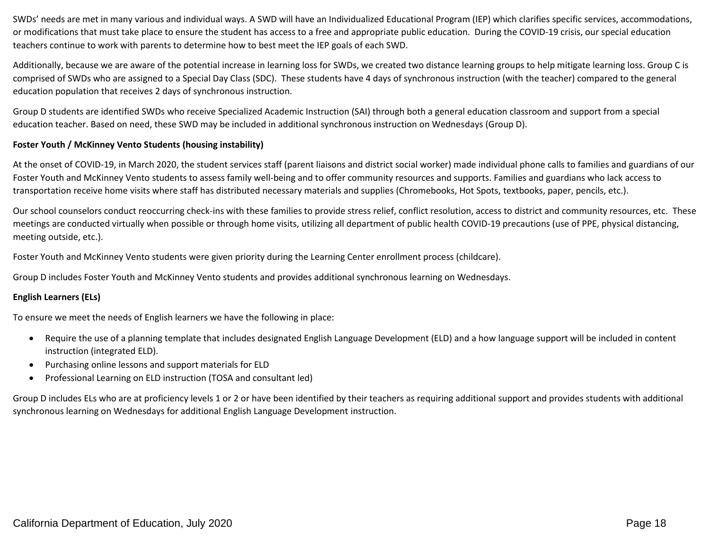SWDs' needs are met in many various and individual ways. A SWD will have an Individualized Educational Program (IEP) which clarifies specific services, accommodations, or modifications that must take place to ensure the student has access to a free and appropriate public education. During the COVID-19 crisis, our special education teachers continue to work with parents to determine how to best meet the IEP goals of each SWD.

Additionally, because we are aware of the potential increase in learning loss for SWDs, we created two distance learning groups to help mitigate learning loss. Group C is comprised of SWDs who are assigned to a Special Day Class (SDC). These students have 4 days of synchronous instruction (with the teacher) compared to the general education population that receives 2 days of synchronous instruction.

Group D students are identified SWDs who receive Specialized Academic Instruction (SAI) through both a general education classroom and support from a special education teacher. Based on need, these SWD may be included in additional synchronous instruction on Wednesdays (Group D).

### **Foster Youth / McKinney Vento Students (housing instability)**

At the onset of COVID-19, in March 2020, the student services staff (parent liaisons and district social worker) made individual phone calls to families and guardians of our Foster Youth and McKinney Vento students to assess family well-being and to offer community resources and supports. Families and guardians who lack access to transportation receive home visits where staff has distributed necessary materials and supplies (Chromebooks, Hot Spots, textbooks, paper, pencils, etc.).

Our school counselors conduct reoccurring check-ins with these families to provide stress relief, conflict resolution, access to district and community resources, etc. These meetings are conducted virtually when possible or through home visits, utilizing all department of public health COVID-19 precautions (use of PPE, physical distancing, meeting outside, etc.).

Foster Youth and McKinney Vento students were given priority during the Learning Center enrollment process (childcare).

Group D includes Foster Youth and McKinney Vento students and provides additional synchronous learning on Wednesdays.

# **English Learners (ELs)**

To ensure we meet the needs of English learners we have the following in place:

- Require the use of a planning template that includes designated English Language Development (ELD) and a how language support will be included in content instruction (integrated ELD).
- Purchasing online lessons and support materials for ELD
- Professional Learning on ELD instruction (TOSA and consultant led)

Group D includes ELs who are at proficiency levels 1 or 2 or have been identified by their teachers as requiring additional support and provides students with additional synchronous learning on Wednesdays for additional English Language Development instruction.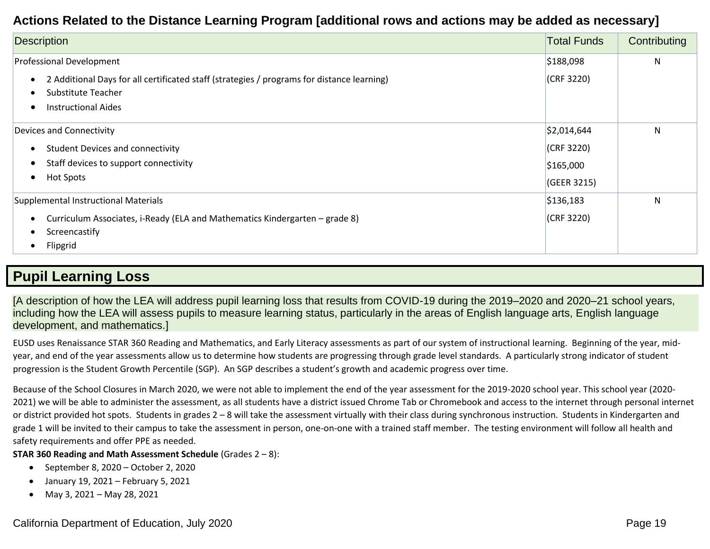# **Actions Related to the Distance Learning Program [additional rows and actions may be added as necessary]**

| <b>Description</b>                                                                                               | <b>Total Funds</b> | Contributing |
|------------------------------------------------------------------------------------------------------------------|--------------------|--------------|
| Professional Development                                                                                         | \$188,098          | N            |
| 2 Additional Days for all certificated staff (strategies / programs for distance learning)<br>Substitute Teacher | (CRF 3220)         |              |
| <b>Instructional Aides</b>                                                                                       |                    |              |
| Devices and Connectivity                                                                                         | \$2,014,644        | $\mathsf{N}$ |
| <b>Student Devices and connectivity</b>                                                                          | (CRF 3220)         |              |
| Staff devices to support connectivity                                                                            | \$165,000          |              |
| <b>Hot Spots</b>                                                                                                 | (GEER 3215)        |              |
| Supplemental Instructional Materials                                                                             | \$136,183          | N            |
| Curriculum Associates, i-Ready (ELA and Mathematics Kindergarten - grade 8)<br>Screencastify<br>Flipgrid         | (CRF 3220)         |              |

# **Pupil Learning Loss**

[A description of how the LEA will address pupil learning loss that results from COVID-19 during the 2019–2020 and 2020–21 school years, including how the LEA will assess pupils to measure learning status, particularly in the areas of English language arts, English language development, and mathematics.]

EUSD uses Renaissance STAR 360 Reading and Mathematics, and Early Literacy assessments as part of our system of instructional learning. Beginning of the year, midyear, and end of the year assessments allow us to determine how students are progressing through grade level standards. A particularly strong indicator of student progression is the Student Growth Percentile (SGP). An SGP describes a student's growth and academic progress over time.

Because of the School Closures in March 2020, we were not able to implement the end of the year assessment for the 2019-2020 school year. This school year (2020- 2021) we will be able to administer the assessment, as all students have a district issued Chrome Tab or Chromebook and access to the internet through personal internet or district provided hot spots. Students in grades 2 – 8 will take the assessment virtually with their class during synchronous instruction. Students in Kindergarten and grade 1 will be invited to their campus to take the assessment in person, one-on-one with a trained staff member. The testing environment will follow all health and safety requirements and offer PPE as needed.

### **STAR 360 Reading and Math Assessment Schedule** (Grades 2 – 8):

- September 8, 2020 October 2, 2020
- January 19, 2021 February 5, 2021
- May 3, 2021 May 28, 2021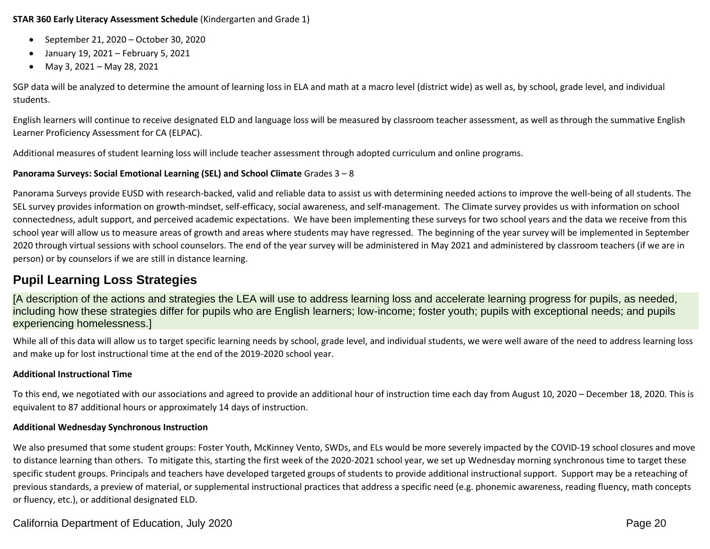### **STAR 360 Early Literacy Assessment Schedule** (Kindergarten and Grade 1)

- September 21, 2020 October 30, 2020
- January 19, 2021 February 5, 2021
- May 3, 2021 May 28, 2021

SGP data will be analyzed to determine the amount of learning loss in ELA and math at a macro level (district wide) as well as, by school, grade level, and individual students.

English learners will continue to receive designated ELD and language loss will be measured by classroom teacher assessment, as well as through the summative English Learner Proficiency Assessment for CA (ELPAC).

Additional measures of student learning loss will include teacher assessment through adopted curriculum and online programs.

# **Panorama Surveys: Social Emotional Learning (SEL) and School Climate** Grades 3 – 8

Panorama Surveys provide EUSD with research-backed, valid and reliable data to assist us with determining needed actions to improve the well-being of all students. The SEL survey provides information on growth-mindset, self-efficacy, social awareness, and self-management. The Climate survey provides us with information on school connectedness, adult support, and perceived academic expectations. We have been implementing these surveys for two school years and the data we receive from this school year will allow us to measure areas of growth and areas where students may have regressed. The beginning of the year survey will be implemented in September 2020 through virtual sessions with school counselors. The end of the year survey will be administered in May 2021 and administered by classroom teachers (if we are in person) or by counselors if we are still in distance learning.

# **Pupil Learning Loss Strategies**

[A description of the actions and strategies the LEA will use to address learning loss and accelerate learning progress for pupils, as needed, including how these strategies differ for pupils who are English learners; low-income; foster youth; pupils with exceptional needs; and pupils experiencing homelessness.]

While all of this data will allow us to target specific learning needs by school, grade level, and individual students, we were well aware of the need to address learning loss and make up for lost instructional time at the end of the 2019-2020 school year.

# **Additional Instructional Time**

To this end, we negotiated with our associations and agreed to provide an additional hour of instruction time each day from August 10, 2020 – December 18, 2020. This is equivalent to 87 additional hours or approximately 14 days of instruction.

# **Additional Wednesday Synchronous Instruction**

We also presumed that some student groups: Foster Youth, McKinney Vento, SWDs, and ELs would be more severely impacted by the COVID-19 school closures and move to distance learning than others. To mitigate this, starting the first week of the 2020-2021 school year, we set up Wednesday morning synchronous time to target these specific student groups. Principals and teachers have developed targeted groups of students to provide additional instructional support. Support may be a reteaching of previous standards, a preview of material, or supplemental instructional practices that address a specific need (e.g. phonemic awareness, reading fluency, math concepts or fluency, etc.), or additional designated ELD.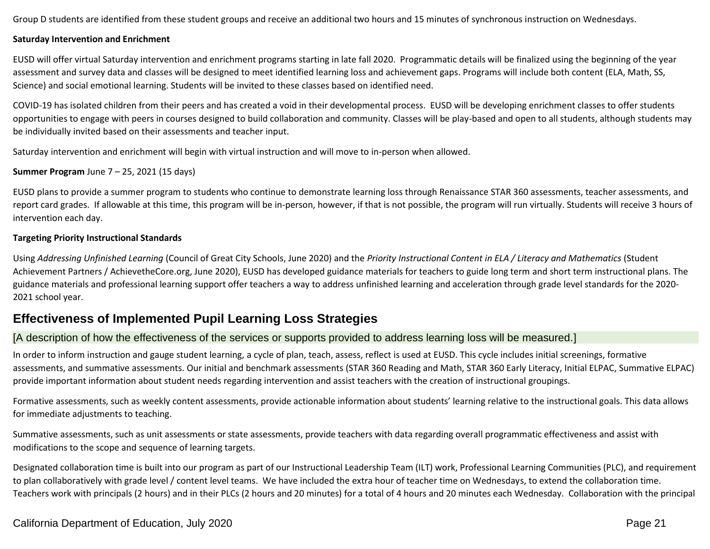Group D students are identified from these student groups and receive an additional two hours and 15 minutes of synchronous instruction on Wednesdays.

### **Saturday Intervention and Enrichment**

EUSD will offer virtual Saturday intervention and enrichment programs starting in late fall 2020. Programmatic details will be finalized using the beginning of the year assessment and survey data and classes will be designed to meet identified learning loss and achievement gaps. Programs will include both content (ELA, Math, SS, Science) and social emotional learning. Students will be invited to these classes based on identified need.

COVID-19 has isolated children from their peers and has created a void in their developmental process. EUSD will be developing enrichment classes to offer students opportunities to engage with peers in courses designed to build collaboration and community. Classes will be play-based and open to all students, although students may be individually invited based on their assessments and teacher input.

Saturday intervention and enrichment will begin with virtual instruction and will move to in-person when allowed.

## **Summer Program** June 7 – 25, 2021 (15 days)

EUSD plans to provide a summer program to students who continue to demonstrate learning loss through Renaissance STAR 360 assessments, teacher assessments, and report card grades. If allowable at this time, this program will be in-person, however, if that is not possible, the program will run virtually. Students will receive 3 hours of intervention each day.

## **Targeting Priority Instructional Standards**

Using *Addressing Unfinished Learning* (Council of Great City Schools, June 2020) and the *Priority Instructional Content in ELA / Literacy and Mathematics* (Student Achievement Partners / AchievetheCore.org, June 2020), EUSD has developed guidance materials for teachers to guide long term and short term instructional plans. The guidance materials and professional learning support offer teachers a way to address unfinished learning and acceleration through grade level standards for the 2020- 2021 school year.

# **Effectiveness of Implemented Pupil Learning Loss Strategies**

# [A description of how the effectiveness of the services or supports provided to address learning loss will be measured.]

In order to inform instruction and gauge student learning, a cycle of plan, teach, assess, reflect is used at EUSD. This cycle includes initial screenings, formative assessments, and summative assessments. Our initial and benchmark assessments (STAR 360 Reading and Math, STAR 360 Early Literacy, Initial ELPAC, Summative ELPAC) provide important information about student needs regarding intervention and assist teachers with the creation of instructional groupings.

Formative assessments, such as weekly content assessments, provide actionable information about students' learning relative to the instructional goals. This data allows for immediate adjustments to teaching.

Summative assessments, such as unit assessments or state assessments, provide teachers with data regarding overall programmatic effectiveness and assist with modifications to the scope and sequence of learning targets.

Designated collaboration time is built into our program as part of our Instructional Leadership Team (ILT) work, Professional Learning Communities (PLC), and requirement to plan collaboratively with grade level / content level teams. We have included the extra hour of teacher time on Wednesdays, to extend the collaboration time. Teachers work with principals (2 hours) and in their PLCs (2 hours and 20 minutes) for a total of 4 hours and 20 minutes each Wednesday. Collaboration with the principal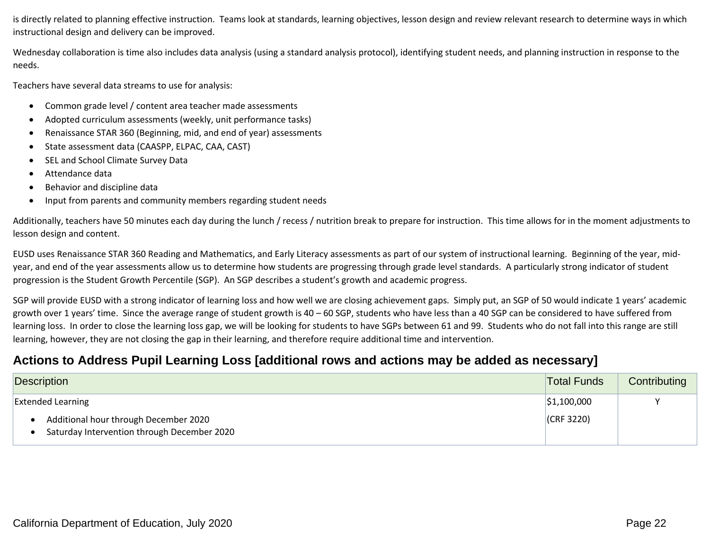is directly related to planning effective instruction. Teams look at standards, learning objectives, lesson design and review relevant research to determine ways in which instructional design and delivery can be improved.

Wednesday collaboration is time also includes data analysis (using a standard analysis protocol), identifying student needs, and planning instruction in response to the needs.

Teachers have several data streams to use for analysis:

- Common grade level / content area teacher made assessments
- Adopted curriculum assessments (weekly, unit performance tasks)
- Renaissance STAR 360 (Beginning, mid, and end of year) assessments
- State assessment data (CAASPP, ELPAC, CAA, CAST)
- SEL and School Climate Survey Data
- Attendance data
- Behavior and discipline data
- Input from parents and community members regarding student needs

Additionally, teachers have 50 minutes each day during the lunch / recess / nutrition break to prepare for instruction. This time allows for in the moment adjustments to lesson design and content.

EUSD uses Renaissance STAR 360 Reading and Mathematics, and Early Literacy assessments as part of our system of instructional learning. Beginning of the year, midyear, and end of the year assessments allow us to determine how students are progressing through grade level standards. A particularly strong indicator of student progression is the Student Growth Percentile (SGP). An SGP describes a student's growth and academic progress.

SGP will provide EUSD with a strong indicator of learning loss and how well we are closing achievement gaps. Simply put, an SGP of 50 would indicate 1 years' academic growth over 1 years' time. Since the average range of student growth is 40 – 60 SGP, students who have less than a 40 SGP can be considered to have suffered from learning loss. In order to close the learning loss gap, we will be looking for students to have SGPs between 61 and 99. Students who do not fall into this range are still learning, however, they are not closing the gap in their learning, and therefore require additional time and intervention.

# **Actions to Address Pupil Learning Loss [additional rows and actions may be added as necessary]**

| Description                                                                          |                | Contributing |
|--------------------------------------------------------------------------------------|----------------|--------------|
| <b>Extended Learning</b>                                                             | \$1,100,000    |              |
| Additional hour through December 2020<br>Saturday Intervention through December 2020 | $ $ (CRF 3220) |              |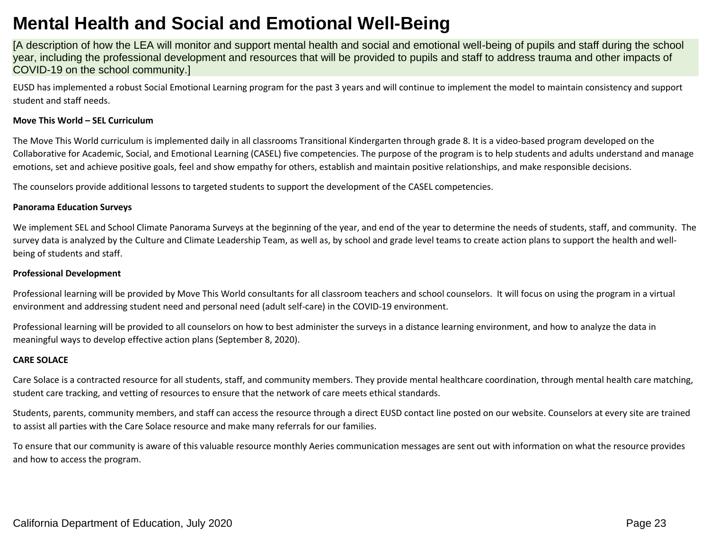# **Mental Health and Social and Emotional Well-Being**

[A description of how the LEA will monitor and support mental health and social and emotional well-being of pupils and staff during the school year, including the professional development and resources that will be provided to pupils and staff to address trauma and other impacts of COVID-19 on the school community.]

EUSD has implemented a robust Social Emotional Learning program for the past 3 years and will continue to implement the model to maintain consistency and support student and staff needs.

#### **Move This World – SEL Curriculum**

The Move This World curriculum is implemented daily in all classrooms Transitional Kindergarten through grade 8. It is a video-based program developed on the Collaborative for Academic, Social, and Emotional Learning (CASEL) five competencies. The purpose of the program is to help students and adults understand and manage emotions, set and achieve positive goals, feel and show empathy for others, establish and maintain positive relationships, and make responsible decisions.

The counselors provide additional lessons to targeted students to support the development of the CASEL competencies.

#### **Panorama Education Surveys**

We implement SEL and School Climate Panorama Surveys at the beginning of the year, and end of the year to determine the needs of students, staff, and community. The survey data is analyzed by the Culture and Climate Leadership Team, as well as, by school and grade level teams to create action plans to support the health and wellbeing of students and staff.

### **Professional Development**

Professional learning will be provided by Move This World consultants for all classroom teachers and school counselors. It will focus on using the program in a virtual environment and addressing student need and personal need (adult self-care) in the COVID-19 environment.

Professional learning will be provided to all counselors on how to best administer the surveys in a distance learning environment, and how to analyze the data in meaningful ways to develop effective action plans (September 8, 2020).

#### **CARE SOLACE**

Care Solace is a contracted resource for all students, staff, and community members. They provide mental healthcare coordination, through mental health care matching, student care tracking, and vetting of resources to ensure that the network of care meets ethical standards.

Students, parents, community members, and staff can access the resource through a direct EUSD contact line posted on our website. Counselors at every site are trained to assist all parties with the Care Solace resource and make many referrals for our families.

To ensure that our community is aware of this valuable resource monthly Aeries communication messages are sent out with information on what the resource provides and how to access the program.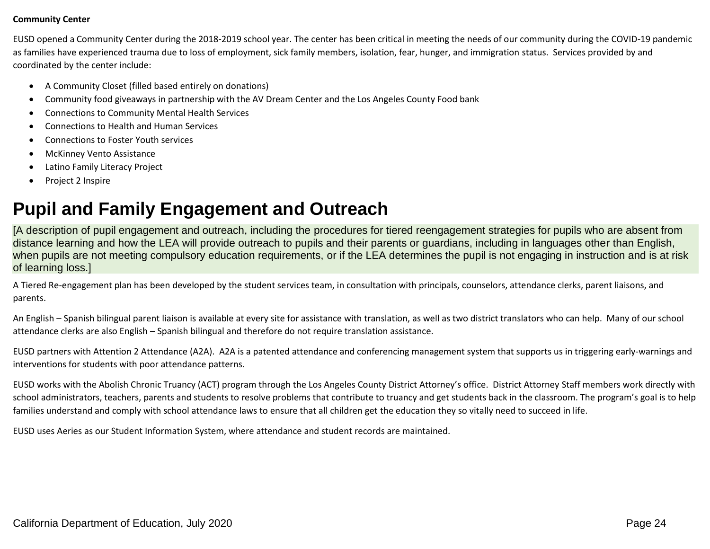### **Community Center**

EUSD opened a Community Center during the 2018-2019 school year. The center has been critical in meeting the needs of our community during the COVID-19 pandemic as families have experienced trauma due to loss of employment, sick family members, isolation, fear, hunger, and immigration status. Services provided by and coordinated by the center include:

- A Community Closet (filled based entirely on donations)
- Community food giveaways in partnership with the AV Dream Center and the Los Angeles County Food bank
- Connections to Community Mental Health Services
- Connections to Health and Human Services
- Connections to Foster Youth services
- McKinney Vento Assistance
- Latino Family Literacy Project
- Project 2 Inspire

# **Pupil and Family Engagement and Outreach**

[A description of pupil engagement and outreach, including the procedures for tiered reengagement strategies for pupils who are absent from distance learning and how the LEA will provide outreach to pupils and their parents or guardians, including in languages other than English, when pupils are not meeting compulsory education requirements, or if the LEA determines the pupil is not engaging in instruction and is at risk of learning loss.]

A Tiered Re-engagement plan has been developed by the student services team, in consultation with principals, counselors, attendance clerks, parent liaisons, and parents.

An English – Spanish bilingual parent liaison is available at every site for assistance with translation, as well as two district translators who can help. Many of our school attendance clerks are also English – Spanish bilingual and therefore do not require translation assistance.

EUSD partners with Attention 2 Attendance (A2A). A2A is a patented attendance and conferencing management system that supports us in triggering early-warnings and interventions for students with poor attendance patterns.

EUSD works with the Abolish Chronic Truancy (ACT) program through the Los Angeles County District Attorney's office. District Attorney Staff members work directly with school administrators, teachers, parents and students to resolve problems that contribute to truancy and get students back in the classroom. The program's goal is to help families understand and comply with school attendance laws to ensure that all children get the education they so vitally need to succeed in life.

EUSD uses Aeries as our Student Information System, where attendance and student records are maintained.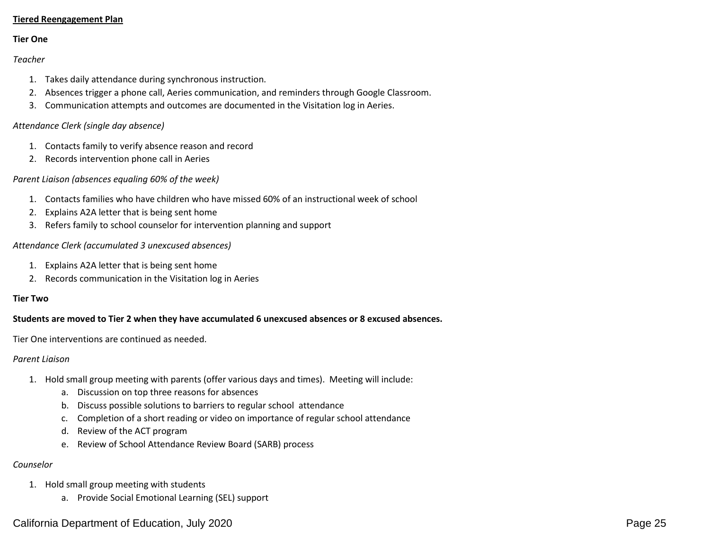## **Tiered Reengagement Plan**

### **Tier One**

### *Teacher*

- 1. Takes daily attendance during synchronous instruction.
- 2. Absences trigger a phone call, Aeries communication, and reminders through Google Classroom.
- 3. Communication attempts and outcomes are documented in the Visitation log in Aeries.

### *Attendance Clerk (single day absence)*

- 1. Contacts family to verify absence reason and record
- 2. Records intervention phone call in Aeries

### *Parent Liaison (absences equaling 60% of the week)*

- 1. Contacts families who have children who have missed 60% of an instructional week of school
- 2. Explains A2A letter that is being sent home
- 3. Refers family to school counselor for intervention planning and support

### *Attendance Clerk (accumulated 3 unexcused absences)*

- 1. Explains A2A letter that is being sent home
- 2. Records communication in the Visitation log in Aeries

### **Tier Two**

### **Students are moved to Tier 2 when they have accumulated 6 unexcused absences or 8 excused absences.**

Tier One interventions are continued as needed.

#### *Parent Liaison*

- 1. Hold small group meeting with parents (offer various days and times). Meeting will include:
	- a. Discussion on top three reasons for absences
	- b. Discuss possible solutions to barriers to regular school attendance
	- c. Completion of a short reading or video on importance of regular school attendance
	- d. Review of the ACT program
	- e. Review of School Attendance Review Board (SARB) process

### *Counselor*

- 1. Hold small group meeting with students
	- a. Provide Social Emotional Learning (SEL) support

# California Department of Education, July 2020 **Page 25** Page 25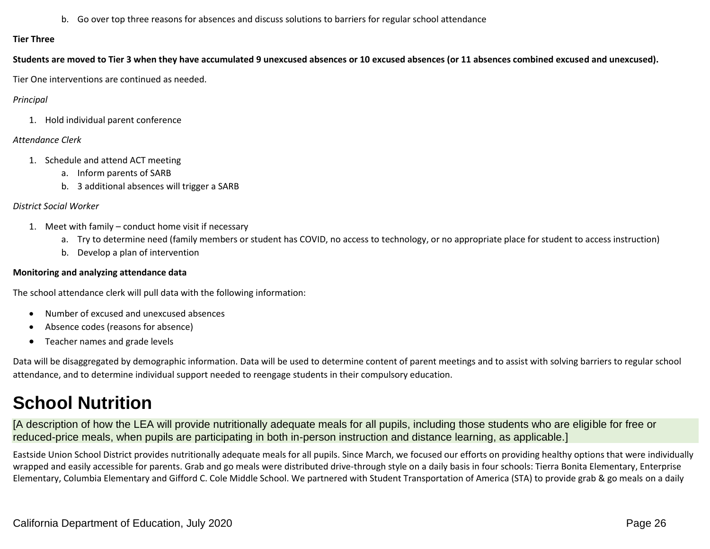b. Go over top three reasons for absences and discuss solutions to barriers for regular school attendance

### **Tier Three**

**Students are moved to Tier 3 when they have accumulated 9 unexcused absences or 10 excused absences (or 11 absences combined excused and unexcused).**

Tier One interventions are continued as needed.

## *Principal*

1. Hold individual parent conference

# *Attendance Clerk*

- 1. Schedule and attend ACT meeting
	- a. Inform parents of SARB
	- b. 3 additional absences will trigger a SARB

# *District Social Worker*

- 1. Meet with family conduct home visit if necessary
	- a. Try to determine need (family members or student has COVID, no access to technology, or no appropriate place for student to access instruction)
	- b. Develop a plan of intervention

# **Monitoring and analyzing attendance data**

The school attendance clerk will pull data with the following information:

- Number of excused and unexcused absences
- Absence codes (reasons for absence)
- Teacher names and grade levels

Data will be disaggregated by demographic information. Data will be used to determine content of parent meetings and to assist with solving barriers to regular school attendance, and to determine individual support needed to reengage students in their compulsory education.

# **School Nutrition**

[A description of how the LEA will provide nutritionally adequate meals for all pupils, including those students who are eligible for free or reduced-price meals, when pupils are participating in both in-person instruction and distance learning, as applicable.]

Eastside Union School District provides nutritionally adequate meals for all pupils. Since March, we focused our efforts on providing healthy options that were individually wrapped and easily accessible for parents. Grab and go meals were distributed drive-through style on a daily basis in four schools: Tierra Bonita Elementary, Enterprise Elementary, Columbia Elementary and Gifford C. Cole Middle School. We partnered with Student Transportation of America (STA) to provide grab & go meals on a daily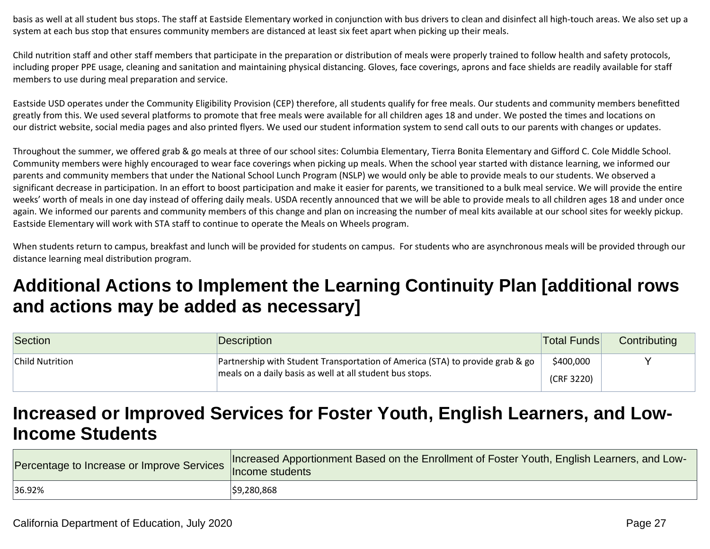basis as well at all student bus stops. The staff at Eastside Elementary worked in conjunction with bus drivers to clean and disinfect all high-touch areas. We also set up a system at each bus stop that ensures community members are distanced at least six feet apart when picking up their meals.

Child nutrition staff and other staff members that participate in the preparation or distribution of meals were properly trained to follow health and safety protocols, including proper PPE usage, cleaning and sanitation and maintaining physical distancing. Gloves, face coverings, aprons and face shields are readily available for staff members to use during meal preparation and service.

Eastside USD operates under the Community Eligibility Provision (CEP) therefore, all students qualify for free meals. Our students and community members benefitted greatly from this. We used several platforms to promote that free meals were available for all children ages 18 and under. We posted the times and locations on our district website, social media pages and also printed flyers. We used our student information system to send call outs to our parents with changes or updates.

Throughout the summer, we offered grab & go meals at three of our school sites: Columbia Elementary, Tierra Bonita Elementary and Gifford C. Cole Middle School. Community members were highly encouraged to wear face coverings when picking up meals. When the school year started with distance learning, we informed our parents and community members that under the National School Lunch Program (NSLP) we would only be able to provide meals to our students. We observed a significant decrease in participation. In an effort to boost participation and make it easier for parents, we transitioned to a bulk meal service. We will provide the entire weeks' worth of meals in one day instead of offering daily meals. USDA recently announced that we will be able to provide meals to all children ages 18 and under once again. We informed our parents and community members of this change and plan on increasing the number of meal kits available at our school sites for weekly pickup. Eastside Elementary will work with STA staff to continue to operate the Meals on Wheels program.

When students return to campus, breakfast and lunch will be provided for students on campus. For students who are asynchronous meals will be provided through our distance learning meal distribution program.

# **Additional Actions to Implement the Learning Continuity Plan [additional rows and actions may be added as necessary]**

| Section         | Description                                                                   | <b>Total Funds</b> | Contributing |
|-----------------|-------------------------------------------------------------------------------|--------------------|--------------|
| Child Nutrition | Partnership with Student Transportation of America (STA) to provide grab & go | \$400,000          |              |
|                 | meals on a daily basis as well at all student bus stops.                      | (CRF 3220)         |              |

# **Increased or Improved Services for Foster Youth, English Learners, and Low-Income Students**

| rercentage to Increase or Improve Services   Income students | Increased Apportionment Based on the Enrollment of Foster Youth, English Learners, and Low- |
|--------------------------------------------------------------|---------------------------------------------------------------------------------------------|
| 36.92%                                                       | \$9,280,868                                                                                 |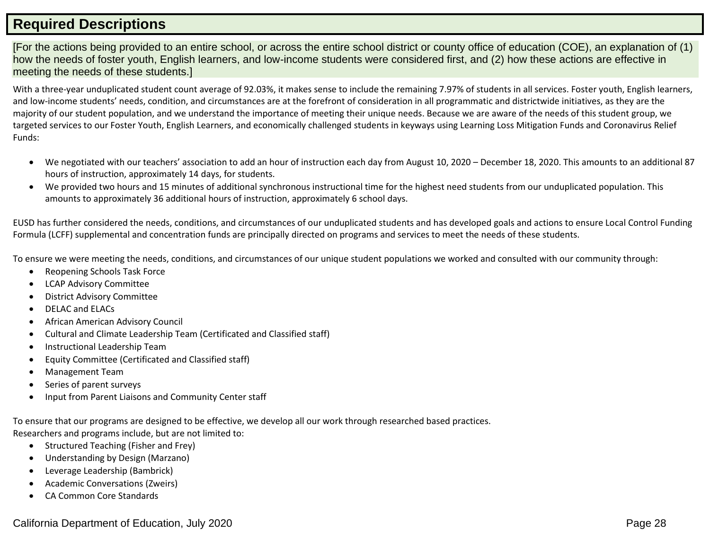# **Required Descriptions**

[For the actions being provided to an entire school, or across the entire school district or county office of education (COE), an explanation of (1) how the needs of foster youth, English learners, and low-income students were considered first, and (2) how these actions are effective in meeting the needs of these students.]

With a three-year unduplicated student count average of 92.03%, it makes sense to include the remaining 7.97% of students in all services. Foster youth, English learners, and low-income students' needs, condition, and circumstances are at the forefront of consideration in all programmatic and districtwide initiatives, as they are the majority of our student population, and we understand the importance of meeting their unique needs. Because we are aware of the needs of this student group, we targeted services to our Foster Youth, English Learners, and economically challenged students in keyways using Learning Loss Mitigation Funds and Coronavirus Relief Funds:

- We negotiated with our teachers' association to add an hour of instruction each day from August 10, 2020 December 18, 2020. This amounts to an additional 87 hours of instruction, approximately 14 days, for students.
- We provided two hours and 15 minutes of additional synchronous instructional time for the highest need students from our unduplicated population. This amounts to approximately 36 additional hours of instruction, approximately 6 school days.

EUSD has further considered the needs, conditions, and circumstances of our unduplicated students and has developed goals and actions to ensure Local Control Funding Formula (LCFF) supplemental and concentration funds are principally directed on programs and services to meet the needs of these students.

To ensure we were meeting the needs, conditions, and circumstances of our unique student populations we worked and consulted with our community through:

- Reopening Schools Task Force
- LCAP Advisory Committee
- District Advisory Committee
- DELAC and ELACs
- African American Advisory Council
- Cultural and Climate Leadership Team (Certificated and Classified staff)
- Instructional Leadership Team
- Equity Committee (Certificated and Classified staff)
- Management Team
- Series of parent surveys
- Input from Parent Liaisons and Community Center staff

To ensure that our programs are designed to be effective, we develop all our work through researched based practices. Researchers and programs include, but are not limited to:

- Structured Teaching (Fisher and Frey)
- Understanding by Design (Marzano)
- Leverage Leadership (Bambrick)
- Academic Conversations (Zweirs)
- CA Common Core Standards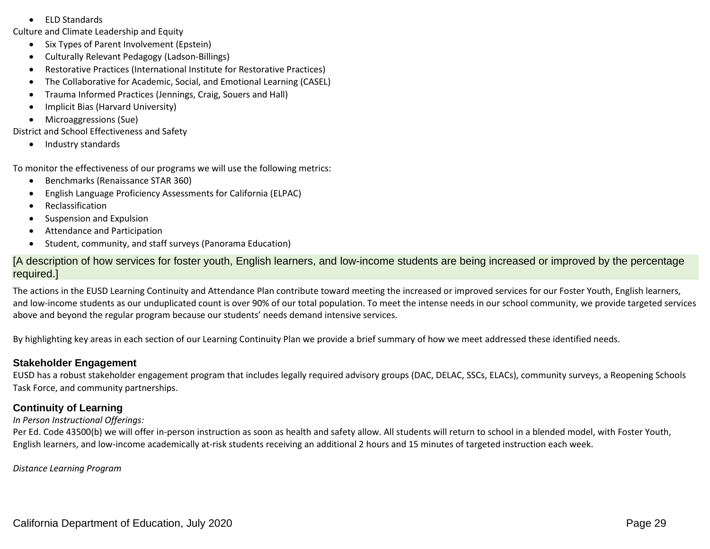• ELD Standards

Culture and Climate Leadership and Equity

- Six Types of Parent Involvement (Epstein)
- Culturally Relevant Pedagogy (Ladson-Billings)
- Restorative Practices (International Institute for Restorative Practices)
- The Collaborative for Academic, Social, and Emotional Learning (CASEL)
- Trauma Informed Practices (Jennings, Craig, Souers and Hall)
- Implicit Bias (Harvard University)
- Microaggressions (Sue)

District and School Effectiveness and Safety

• Industry standards

To monitor the effectiveness of our programs we will use the following metrics:

- Benchmarks (Renaissance STAR 360)
- English Language Proficiency Assessments for California (ELPAC)
- Reclassification
- Suspension and Expulsion
- Attendance and Participation
- Student, community, and staff surveys (Panorama Education)

[A description of how services for foster youth, English learners, and low-income students are being increased or improved by the percentage required.]

The actions in the EUSD Learning Continuity and Attendance Plan contribute toward meeting the increased or improved services for our Foster Youth, English learners, and low-income students as our unduplicated count is over 90% of our total population. To meet the intense needs in our school community, we provide targeted services above and beyond the regular program because our students' needs demand intensive services.

By highlighting key areas in each section of our Learning Continuity Plan we provide a brief summary of how we meet addressed these identified needs.

# **Stakeholder Engagement**

EUSD has a robust stakeholder engagement program that includes legally required advisory groups (DAC, DELAC, SSCs, ELACs), community surveys, a Reopening Schools Task Force, and community partnerships.

# **Continuity of Learning**

## *In Person Instructional Offerings:*

Per Ed. Code 43500(b) we will offer in-person instruction as soon as health and safety allow. All students will return to school in a blended model, with Foster Youth, English learners, and low-income academically at-risk students receiving an additional 2 hours and 15 minutes of targeted instruction each week.

*Distance Learning Program*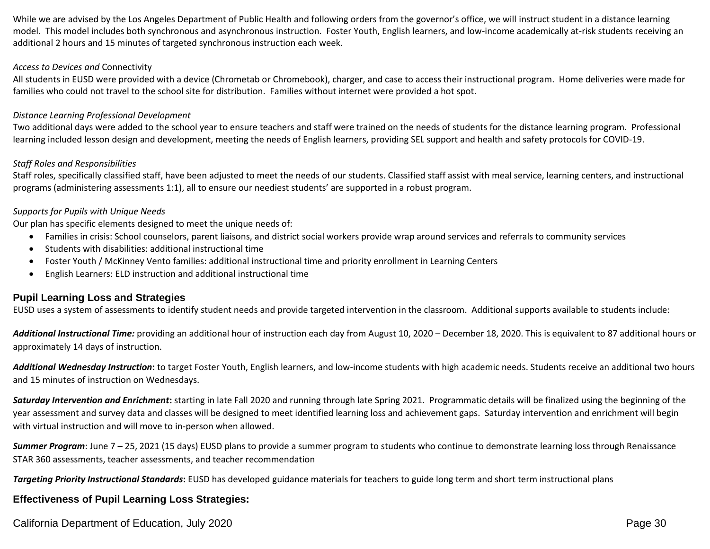While we are advised by the Los Angeles Department of Public Health and following orders from the governor's office, we will instruct student in a distance learning model. This model includes both synchronous and asynchronous instruction. Foster Youth, English learners, and low-income academically at-risk students receiving an additional 2 hours and 15 minutes of targeted synchronous instruction each week.

#### *Access to Devices and* Connectivity

All students in EUSD were provided with a device (Chrometab or Chromebook), charger, and case to access their instructional program. Home deliveries were made for families who could not travel to the school site for distribution. Families without internet were provided a hot spot.

### *Distance Learning Professional Development*

Two additional days were added to the school year to ensure teachers and staff were trained on the needs of students for the distance learning program. Professional learning included lesson design and development, meeting the needs of English learners, providing SEL support and health and safety protocols for COVID-19.

### *Staff Roles and Responsibilities*

Staff roles, specifically classified staff, have been adjusted to meet the needs of our students. Classified staff assist with meal service, learning centers, and instructional programs (administering assessments 1:1), all to ensure our neediest students' are supported in a robust program.

### *Supports for Pupils with Unique Needs*

Our plan has specific elements designed to meet the unique needs of:

- Families in crisis: School counselors, parent liaisons, and district social workers provide wrap around services and referrals to community services
- Students with disabilities: additional instructional time
- Foster Youth / McKinney Vento families: additional instructional time and priority enrollment in Learning Centers
- English Learners: ELD instruction and additional instructional time

## **Pupil Learning Loss and Strategies**

EUSD uses a system of assessments to identify student needs and provide targeted intervention in the classroom. Additional supports available to students include:

Additional Instructional Time: providing an additional hour of instruction each day from August 10, 2020 – December 18, 2020. This is equivalent to 87 additional hours or approximately 14 days of instruction.

*Additional Wednesday Instruction***:** to target Foster Youth, English learners, and low-income students with high academic needs. Students receive an additional two hours and 15 minutes of instruction on Wednesdays.

*Saturday Intervention and Enrichment***:** starting in late Fall 2020 and running through late Spring 2021. Programmatic details will be finalized using the beginning of the year assessment and survey data and classes will be designed to meet identified learning loss and achievement gaps. Saturday intervention and enrichment will begin with virtual instruction and will move to in-person when allowed.

*Summer Program*: June 7 – 25, 2021 (15 days) EUSD plans to provide a summer program to students who continue to demonstrate learning loss through Renaissance STAR 360 assessments, teacher assessments, and teacher recommendation

*Targeting Priority Instructional Standards***:** EUSD has developed guidance materials for teachers to guide long term and short term instructional plans

## **Effectiveness of Pupil Learning Loss Strategies:**

California Department of Education, July 2020 **Page 30** Page 30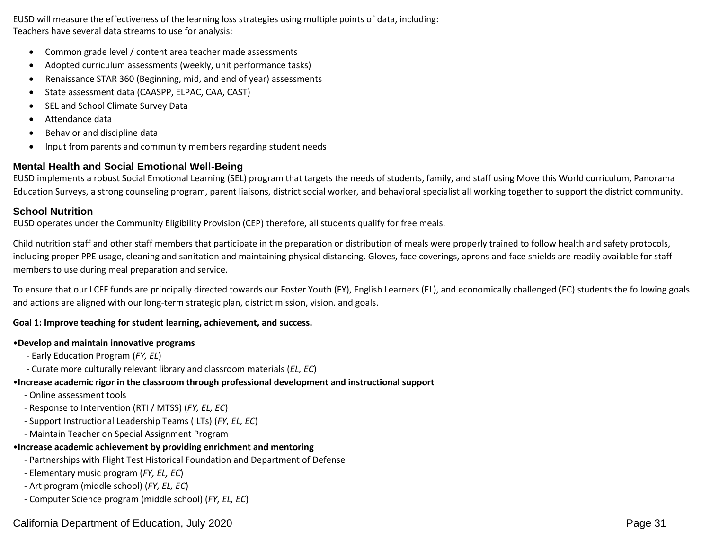EUSD will measure the effectiveness of the learning loss strategies using multiple points of data, including: Teachers have several data streams to use for analysis:

- Common grade level / content area teacher made assessments
- Adopted curriculum assessments (weekly, unit performance tasks)
- Renaissance STAR 360 (Beginning, mid, and end of year) assessments
- State assessment data (CAASPP, ELPAC, CAA, CAST)
- SEL and School Climate Survey Data
- Attendance data
- Behavior and discipline data
- Input from parents and community members regarding student needs

# **Mental Health and Social Emotional Well-Being**

EUSD implements a robust Social Emotional Learning (SEL) program that targets the needs of students, family, and staff using Move this World curriculum, Panorama Education Surveys, a strong counseling program, parent liaisons, district social worker, and behavioral specialist all working together to support the district community.

# **School Nutrition**

EUSD operates under the Community Eligibility Provision (CEP) therefore, all students qualify for free meals.

Child nutrition staff and other staff members that participate in the preparation or distribution of meals were properly trained to follow health and safety protocols, including proper PPE usage, cleaning and sanitation and maintaining physical distancing. Gloves, face coverings, aprons and face shields are readily available for staff members to use during meal preparation and service.

To ensure that our LCFF funds are principally directed towards our Foster Youth (FY), English Learners (EL), and economically challenged (EC) students the following goals and actions are aligned with our long-term strategic plan, district mission, vision. and goals.

## **Goal 1: Improve teaching for student learning, achievement, and success.**

## •**Develop and maintain innovative programs**

- Early Education Program (*FY, EL*)
- Curate more culturally relevant library and classroom materials (*EL, EC*)

# •**Increase academic rigor in the classroom through professional development and instructional support**

- Online assessment tools
- Response to Intervention (RTI / MTSS) (*FY, EL, EC*)
- Support Instructional Leadership Teams (ILTs) (*FY, EL, EC*)
- Maintain Teacher on Special Assignment Program

# •**Increase academic achievement by providing enrichment and mentoring**

- Partnerships with Flight Test Historical Foundation and Department of Defense
- Elementary music program (*FY, EL, EC*)
- Art program (middle school) (*FY, EL, EC*)
- Computer Science program (middle school) (*FY, EL, EC*)

# California Department of Education, July 2020 **Page 31** Page 31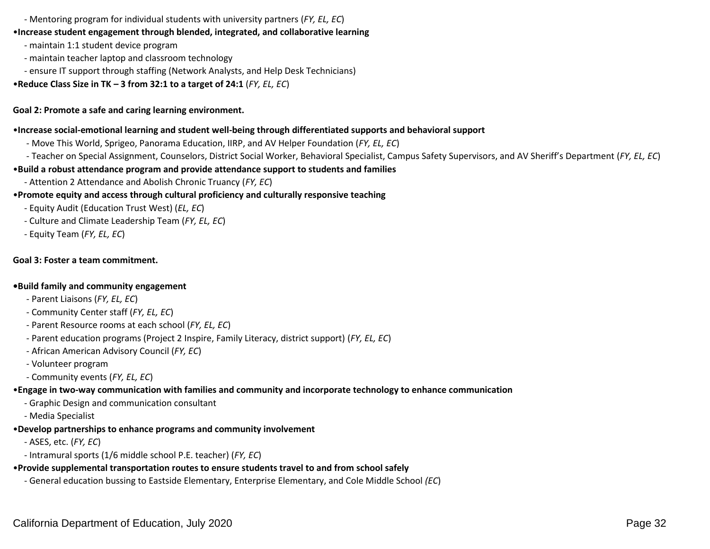- Mentoring program for individual students with university partners (*FY, EL, EC*)

## •**Increase student engagement through blended, integrated, and collaborative learning**

- maintain 1:1 student device program
- maintain teacher laptop and classroom technology
- ensure IT support through staffing (Network Analysts, and Help Desk Technicians)
- •**Reduce Class Size in TK – 3 from 32:1 to a target of 24:1** (*FY, EL, EC*)

## **Goal 2: Promote a safe and caring learning environment.**

### •**Increase social-emotional learning and student well-being through differentiated supports and behavioral support**

- Move This World, Sprigeo, Panorama Education, IIRP, and AV Helper Foundation (*FY, EL, EC*)
- Teacher on Special Assignment, Counselors, District Social Worker, Behavioral Specialist, Campus Safety Supervisors, and AV Sheriff's Department (*FY, EL, EC*)

## •**Build a robust attendance program and provide attendance support to students and families**

- Attention 2 Attendance and Abolish Chronic Truancy (*FY, EC*)

## •**Promote equity and access through cultural proficiency and culturally responsive teaching**

- Equity Audit (Education Trust West) (*EL, EC*)
- Culture and Climate Leadership Team (*FY, EL, EC*)
- Equity Team (*FY, EL, EC*)

## **Goal 3: Foster a team commitment.**

### **•Build family and community engagement**

- Parent Liaisons (*FY, EL, EC*)
- Community Center staff (*FY, EL, EC*)
- Parent Resource rooms at each school (*FY, EL, EC*)
- Parent education programs (Project 2 Inspire, Family Literacy, district support) (*FY, EL, EC*)
- African American Advisory Council (*FY, EC*)
- Volunteer program
- Community events (*FY, EL, EC*)

# •**Engage in two-way communication with families and community and incorporate technology to enhance communication**

- Graphic Design and communication consultant
- Media Specialist

# •**Develop partnerships to enhance programs and community involvement**

- ASES, etc. (*FY, EC*)
- Intramural sports (1/6 middle school P.E. teacher) (*FY, EC*)

# •**Provide supplemental transportation routes to ensure students travel to and from school safely**

- General education bussing to Eastside Elementary, Enterprise Elementary, and Cole Middle School *(EC*)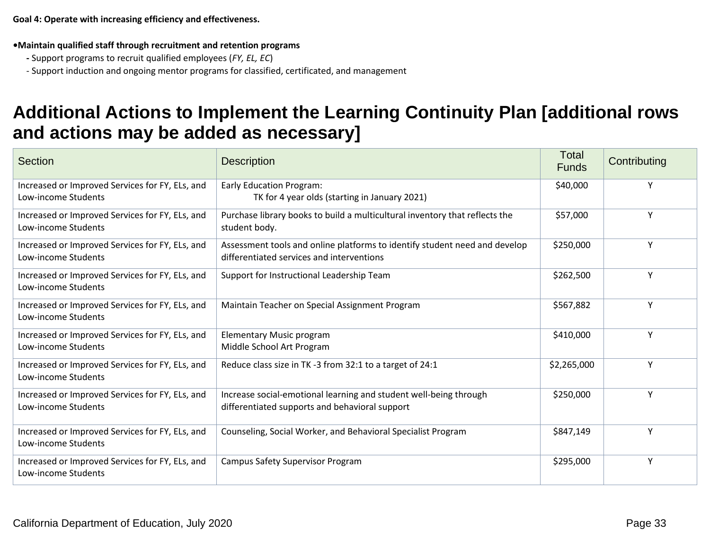**•Maintain qualified staff through recruitment and retention programs**

- **-** Support programs to recruit qualified employees (*FY, EL, EC*)
- Support induction and ongoing mentor programs for classified, certificated, and management

# **Additional Actions to Implement the Learning Continuity Plan [additional rows and actions may be added as necessary]**

| <b>Section</b>                                                         | <b>Description</b>                                                                                                      | Total<br><b>Funds</b> | Contributing |
|------------------------------------------------------------------------|-------------------------------------------------------------------------------------------------------------------------|-----------------------|--------------|
| Increased or Improved Services for FY, ELs, and<br>Low-income Students | <b>Early Education Program:</b><br>TK for 4 year olds (starting in January 2021)                                        | \$40,000              | Υ            |
| Increased or Improved Services for FY, ELs, and<br>Low-income Students | Purchase library books to build a multicultural inventory that reflects the<br>student body.                            | \$57,000              | Y            |
| Increased or Improved Services for FY, ELs, and<br>Low-income Students | Assessment tools and online platforms to identify student need and develop<br>differentiated services and interventions | \$250,000             | Y            |
| Increased or Improved Services for FY, ELs, and<br>Low-income Students | Support for Instructional Leadership Team                                                                               | \$262,500             | Y            |
| Increased or Improved Services for FY, ELs, and<br>Low-income Students | Maintain Teacher on Special Assignment Program                                                                          | \$567,882             | Y            |
| Increased or Improved Services for FY, ELs, and<br>Low-income Students | <b>Elementary Music program</b><br>Middle School Art Program                                                            | \$410,000             | Y            |
| Increased or Improved Services for FY, ELs, and<br>Low-income Students | Reduce class size in TK -3 from 32:1 to a target of 24:1                                                                | \$2,265,000           | Υ            |
| Increased or Improved Services for FY, ELs, and<br>Low-income Students | Increase social-emotional learning and student well-being through<br>differentiated supports and behavioral support     | \$250,000             | Y            |
| Increased or Improved Services for FY, ELs, and<br>Low-income Students | Counseling, Social Worker, and Behavioral Specialist Program                                                            | \$847,149             | Y            |
| Increased or Improved Services for FY, ELs, and<br>Low-income Students | <b>Campus Safety Supervisor Program</b>                                                                                 | \$295,000             | Y            |